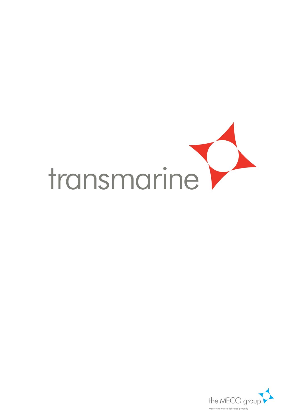

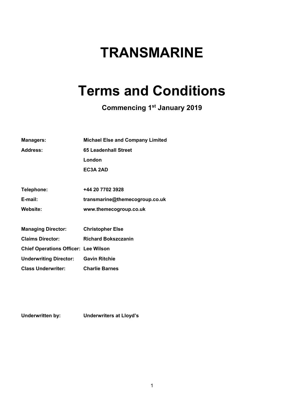# **TRANSMARINE**

# **Terms and Conditions**

**Commencing 1st January 2019** 

| <b>Managers:</b>                            | <b>Michael Else and Company Limited</b> |
|---------------------------------------------|-----------------------------------------|
| Address:                                    | <b>65 Leadenhall Street</b>             |
|                                             | London                                  |
|                                             | EC3A 2AD                                |
|                                             |                                         |
| Telephone:                                  | +44 20 7702 3928                        |
| E-mail:                                     | transmarine@themecogroup.co.uk          |
| Website:                                    | www.themecogroup.co.uk                  |
|                                             |                                         |
| <b>Managing Director:</b>                   | <b>Christopher Else</b>                 |
| <b>Claims Director:</b>                     | <b>Richard Bokszczanin</b>              |
| <b>Chief Operations Officer: Lee Wilson</b> |                                         |
| <b>Underwriting Director: Gavin Ritchie</b> |                                         |
| <b>Class Underwriter:</b>                   | <b>Charlie Barnes</b>                   |

**Underwritten by: Underwriters at Lloyd's**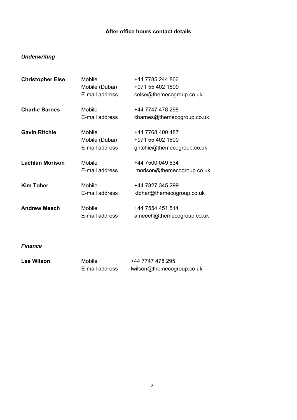# **After office hours contact details**

# *Underwriting*

| <b>Christopher Else</b> | Mobile         | +44 7785 244 866            |
|-------------------------|----------------|-----------------------------|
|                         | Mobile (Dubai) | +971 55 402 1599            |
|                         | E-mail address | celse@themecogroup.co.uk    |
| <b>Charlie Barnes</b>   | Mobile         | +44 7747 478 298            |
|                         | E-mail address | cbarnes@themecogroup.co.uk  |
| <b>Gavin Ritchie</b>    | Mobile         | +44 7768 400 487            |
|                         | Mobile (Dubai) | +971 55 402 1600            |
|                         | E-mail address | gritchie@themecogroup.co.uk |
| <b>Lachlan Morison</b>  | Mobile         | +44 7500 049 634            |
|                         | E-mail address | Imorison@themecogroup.co.uk |
| <b>Kim Toher</b>        | Mobile         | +44 7827 345 299            |
|                         | E-mail address | ktoher@themecogroup.co.uk   |
| <b>Andrew Meech</b>     | Mobile         | +44 7554 451 514            |
|                         | E-mail address | ameech@themecogroup.co.uk   |

*Finance*

| <b>Lee Wilson</b> | Mobile         | +44 7747 478 295           |
|-------------------|----------------|----------------------------|
|                   | E-mail address | lwilson@themecogroup.co.uk |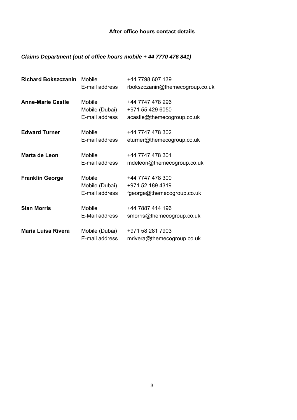# **After office hours contact details**

# *Claims Department (out of office hours mobile + 44 7770 476 841)*

| <b>Richard Bokszczanin</b> | Mobile         | +44 7798 607 139                |
|----------------------------|----------------|---------------------------------|
|                            | E-mail address | rbokszczanin@themecogroup.co.uk |
| <b>Anne-Marie Castle</b>   | Mobile         | +44 7747 478 296                |
|                            | Mobile (Dubai) | +971 55 429 6050                |
|                            | E-mail address | acastle@themecogroup.co.uk      |
| <b>Edward Turner</b>       | Mobile         | +44 7747 478 302                |
|                            | E-mail address | eturner@themecogroup.co.uk      |
| Marta de Leon              | Mobile         | +44 7747 478 301                |
|                            | E-mail address | mdeleon@themecogroup.co.uk      |
| <b>Franklin George</b>     | <b>Mobile</b>  | +44 7747 478 300                |
|                            | Mobile (Dubai) | +971 52 189 4319                |
|                            | E-mail address | fgeorge@themecogroup.co.uk      |
| <b>Sian Morris</b>         | Mobile         | +44 7887 414 196                |
|                            | E-Mail address | smorris@themecogroup.co.uk      |
| <b>Maria Luisa Rivera</b>  | Mobile (Dubai) | +971 58 281 7903                |
|                            | E-mail address | mrivera@themecogroup.co.uk      |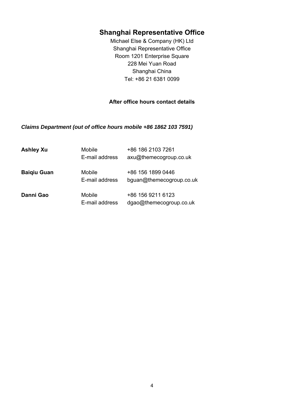# **Shanghai Representative Office**

Michael Else & Company (HK) Ltd Shanghai Representative Office Room 1201 Enterprise Square 228 Mei Yuan Road Shanghai China Tel: +86 21 6381 0099

# **After office hours contact details**

*Claims Department (out of office hours mobile +86 1862 103 7591)* 

| <b>Ashley Xu</b>   | Mobile<br>E-mail address | +86 186 2103 7261<br>axu@themecogroup.co.uk   |
|--------------------|--------------------------|-----------------------------------------------|
| <b>Baigiu Guan</b> | Mobile<br>E-mail address | +86 156 1899 0446<br>bguan@themecogroup.co.uk |
| Danni Gao          | Mobile<br>E-mail address | +86 156 9211 6123<br>dgao@themecogroup.co.uk  |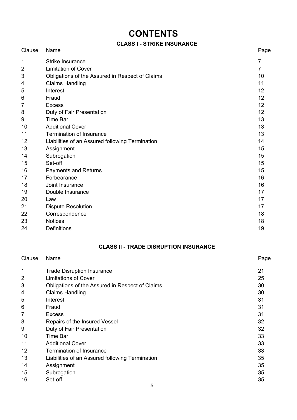# **CONTENTS**

# **CLASS I - STRIKE INSURANCE**

| Clause | <b>Name</b>                                     | Page           |
|--------|-------------------------------------------------|----------------|
| 1      | <b>Strike Insurance</b>                         | 7              |
| 2      | <b>Limitation of Cover</b>                      | $\overline{7}$ |
| 3      | Obligations of the Assured in Respect of Claims | 10             |
| 4      | <b>Claims Handling</b>                          | 11             |
| 5      | Interest                                        | 12             |
| 6      | Fraud                                           | 12             |
| 7      | <b>Excess</b>                                   | 12             |
| 8      | Duty of Fair Presentation                       | 12             |
| 9      | <b>Time Bar</b>                                 | 13             |
| 10     | <b>Additional Cover</b>                         | 13             |
| 11     | <b>Termination of Insurance</b>                 | 13             |
| 12     | Liabilities of an Assured following Termination | 14             |
| 13     | Assignment                                      | 15             |
| 14     | Subrogation                                     | 15             |
| 15     | Set-off                                         | 15             |
| 16     | <b>Payments and Returns</b>                     | 15             |
| 17     | Forbearance                                     | 16             |
| 18     | Joint Insurance                                 | 16             |
| 19     | Double Insurance                                | 17             |
| 20     | Law                                             | 17             |
| 21     | <b>Dispute Resolution</b>                       | 17             |
| 22     | Correspondence                                  | 18             |
| 23     | <b>Notices</b>                                  | 18             |
| 24     | <b>Definitions</b>                              | 19             |

# **CLASS II - TRADE DISRUPTION INSURANCE**

| Clause         | Name                                            | Page |
|----------------|-------------------------------------------------|------|
|                |                                                 |      |
| 1              | <b>Trade Disruption Insurance</b>               | 21   |
| $\overline{2}$ | <b>Limitations of Cover</b>                     | 25   |
| 3              | Obligations of the Assured in Respect of Claims | 30   |
| 4              | <b>Claims Handling</b>                          | 30   |
| 5              | Interest                                        | 31   |
| 6              | Fraud                                           | 31   |
| 7              | <b>Excess</b>                                   | 31   |
| 8              | Repairs of the Insured Vessel                   | 32   |
| 9              | Duty of Fair Presentation                       | 32   |
| 10             | <b>Time Bar</b>                                 | 33   |
| 11             | <b>Additional Cover</b>                         | 33   |
| 12             | <b>Termination of Insurance</b>                 | 33   |
| 13             | Liabilities of an Assured following Termination | 35   |
| 14             | Assignment                                      | 35   |
| 15             | Subrogation                                     | 35   |
| 16             | Set-off                                         | 35   |
|                | 5                                               |      |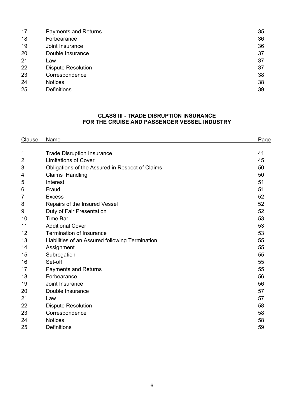| 18<br>Forbearance<br>19<br>Joint Insurance<br>20<br>Double Insurance<br>21<br>Law<br>22<br><b>Dispute Resolution</b><br>23<br>Correspondence<br>24<br><b>Notices</b><br>25<br><b>Definitions</b> | 17 | <b>Payments and Returns</b> | 35 |
|--------------------------------------------------------------------------------------------------------------------------------------------------------------------------------------------------|----|-----------------------------|----|
|                                                                                                                                                                                                  |    |                             | 36 |
|                                                                                                                                                                                                  |    |                             | 36 |
|                                                                                                                                                                                                  |    |                             | 37 |
|                                                                                                                                                                                                  |    |                             | 37 |
|                                                                                                                                                                                                  |    |                             | 37 |
|                                                                                                                                                                                                  |    |                             | 38 |
|                                                                                                                                                                                                  |    |                             | 38 |
|                                                                                                                                                                                                  |    |                             | 39 |

#### **CLASS III - TRADE DISRUPTION INSURANCE FOR THE CRUISE AND PASSENGER VESSEL INDUSTRY**

| Clause | Name                                            | Page |
|--------|-------------------------------------------------|------|
|        |                                                 |      |
| 1      | <b>Trade Disruption Insurance</b>               | 41   |
| 2      | <b>Limitations of Cover</b>                     | 45   |
| 3      | Obligations of the Assured in Respect of Claims | 50   |
| 4      | Claims Handling                                 | 50   |
| 5      | Interest                                        | 51   |
| 6      | Fraud                                           | 51   |
| 7      | <b>Excess</b>                                   | 52   |
| 8      | Repairs of the Insured Vessel                   | 52   |
| 9      | Duty of Fair Presentation                       | 52   |
| 10     | <b>Time Bar</b>                                 | 53   |
| 11     | <b>Additional Cover</b>                         | 53   |
| 12     | <b>Termination of Insurance</b>                 | 53   |
| 13     | Liabilities of an Assured following Termination | 55   |
| 14     | Assignment                                      | 55   |
| 15     | Subrogation                                     | 55   |
| 16     | Set-off                                         | 55   |
| 17     | <b>Payments and Returns</b>                     | 55   |
| 18     | Forbearance                                     | 56   |
| 19     | Joint Insurance                                 | 56   |
| 20     | Double Insurance                                | 57   |
| 21     | Law                                             | 57   |
| 22     | <b>Dispute Resolution</b>                       | 58   |
| 23     | Correspondence                                  | 58   |
| 24     | <b>Notices</b>                                  | 58   |
| 25     | <b>Definitions</b>                              | 59   |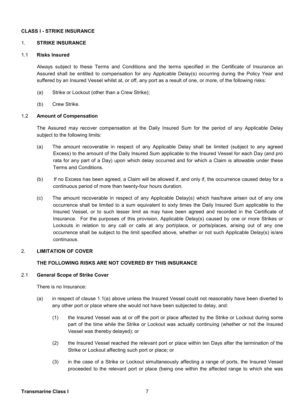#### **CLASS I - STRIKE INSURANCE**

#### 1. **STRIKE INSURANCE**

#### 1.1 **Risks Insured**

Always subject to these Terms and Conditions and the terms specified in the Certificate of Insurance an Assured shall be entitled to compensation for any Applicable Delay(s) occurring during the Policy Year and suffered by an Insured Vessel whilst at, or off, any port as a result of one, or more, of the following risks:

- (a) Strike or Lockout (other than a Crew Strike);
- (b) Crew Strike.

#### 1.2 **Amount of Compensation**

The Assured may recover compensation at the Daily Insured Sum for the period of any Applicable Delay subject to the following limits:

- (a) The amount recoverable in respect of any Applicable Delay shall be limited (subject to any agreed Excess) to the amount of the Daily Insured Sum applicable to the Insured Vessel for each Day (and pro rata for any part of a Day) upon which delay occurred and for which a Claim is allowable under these Terms and Conditions.
- (b) If no Excess has been agreed, a Claim will be allowed if, and only if, the occurrence caused delay for a continuous period of more than twenty-four hours duration.
- (c) The amount recoverable in respect of any Applicable Delay(s) which has/have arisen out of any one occurrence shall be limited to a sum equivalent to sixty times the Daily Insured Sum applicable to the Insured Vessel, or to such lesser limit as may have been agreed and recorded in the Certificate of Insurance. For the purposes of this provision, Applicable Delay(s) caused by one or more Strikes or Lockouts in relation to any call or calls at any port/place, or ports/places, arising out of any one occurrence shall be subject to the limit specified above, whether or not such Applicable Delay(s) is/are continuous.

#### 2. **LIMITATION OF COVER**

#### **THE FOLLOWING RISKS ARE NOT COVERED BY THIS INSURANCE**

#### 2.1 **General Scope of Strike Cover**

There is no Insurance:

- (a) in respect of clause 1.1(a) above unless the Insured Vessel could not reasonably have been diverted to any other port or place where she would not have been subjected to delay, and:
	- (1) the Insured Vessel was at or off the port or place affected by the Strike or Lockout during some part of the time while the Strike or Lockout was actually continuing (whether or not the Insured Vessel was thereby delayed); or
	- (2) the Insured Vessel reached the relevant port or place within ten Days after the termination of the Strike or Lockout affecting such port or place; or
	- (3) in the case of a Strike or Lockout simultaneously affecting a range of ports, the Insured Vessel proceeded to the relevant port or place (being one within the affected range to which she was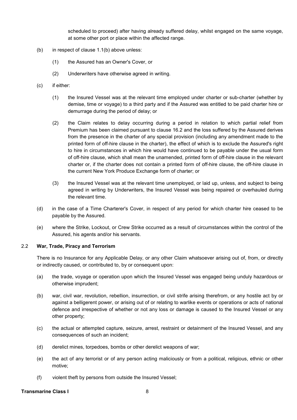scheduled to proceed) after having already suffered delay, whilst engaged on the same voyage, at some other port or place within the affected range.

- (b) in respect of clause 1.1(b) above unless:
	- (1) the Assured has an Owner's Cover, or
	- (2) Underwriters have otherwise agreed in writing.
- (c) if either:
	- (1) the Insured Vessel was at the relevant time employed under charter or sub-charter (whether by demise, time or voyage) to a third party and if the Assured was entitled to be paid charter hire or demurrage during the period of delay; or
	- (2) the Claim relates to delay occurring during a period in relation to which partial relief from Premium has been claimed pursuant to clause 16.2 and the loss suffered by the Assured derives from the presence in the charter of any special provision (including any amendment made to the printed form of off-hire clause in the charter), the effect of which is to exclude the Assured's right to hire in circumstances in which hire would have continued to be payable under the usual form of off-hire clause, which shall mean the unamended, printed form of off-hire clause in the relevant charter or, if the charter does not contain a printed form of off-hire clause, the off-hire clause in the current New York Produce Exchange form of charter; or
	- (3) the Insured Vessel was at the relevant time unemployed, or laid up, unless, and subject to being agreed in writing by Underwriters, the Insured Vessel was being repaired or overhauled during the relevant time.
- (d) in the case of a Time Charterer's Cover, in respect of any period for which charter hire ceased to be payable by the Assured.
- (e) where the Strike, Lockout, or Crew Strike occurred as a result of circumstances within the control of the Assured, his agents and/or his servants.

#### 2.2 **War, Trade, Piracy and Terrorism**

There is no Insurance for any Applicable Delay, or any other Claim whatsoever arising out of, from, or directly or indirectly caused, or contributed to, by or consequent upon:

- (a) the trade, voyage or operation upon which the Insured Vessel was engaged being unduly hazardous or otherwise imprudent;
- (b) war, civil war, revolution, rebellion, insurrection, or civil strife arising therefrom, or any hostile act by or against a belligerent power, or arising out of or relating to warlike events or operations or acts of national defence and irrespective of whether or not any loss or damage is caused to the Insured Vessel or any other property;
- (c) the actual or attempted capture, seizure, arrest, restraint or detainment of the Insured Vessel, and any consequences of such an incident;
- (d) derelict mines, torpedoes, bombs or other derelict weapons of war;
- (e) the act of any terrorist or of any person acting maliciously or from a political, religious, ethnic or other motive;
- (f) violent theft by persons from outside the Insured Vessel;

#### **Transmarine Class I and Server Server All Server Server Server Server Server Server Server Server Server Server Server Server Server Server Server Server Server Server Server Server Server Server Server Server Server Serv**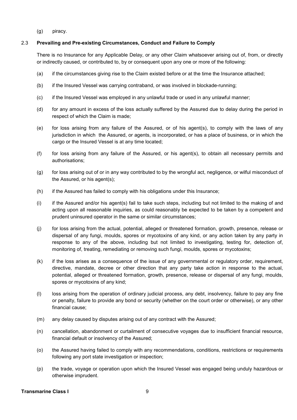(g) piracy.

## 2.3 **Prevailing and Pre-existing Circumstances, Conduct and Failure to Comply**

There is no Insurance for any Applicable Delay, or any other Claim whatsoever arising out of, from, or directly or indirectly caused, or contributed to, by or consequent upon any one or more of the following:

- (a) if the circumstances giving rise to the Claim existed before or at the time the Insurance attached;
- (b) if the Insured Vessel was carrying contraband, or was involved in blockade-running;
- (c) if the Insured Vessel was employed in any unlawful trade or used in any unlawful manner;
- (d) for any amount in excess of the loss actually suffered by the Assured due to delay during the period in respect of which the Claim is made;
- (e) for loss arising from any failure of the Assured, or of his agent(s), to comply with the laws of any jurisdiction in which the Assured, or agents, is incorporated, or has a place of business, or in which the cargo or the Insured Vessel is at any time located;
- (f) for loss arising from any failure of the Assured, or his agent(s), to obtain all necessary permits and authorisations;
- (g) for loss arising out of or in any way contributed to by the wrongful act, negligence, or wilful misconduct of the Assured, or his agent(s);
- (h) if the Assured has failed to comply with his obligations under this Insurance;
- (i) if the Assured and/or his agent(s) fail to take such steps, including but not limited to the making of and acting upon all reasonable inquiries, as could reasonably be expected to be taken by a competent and prudent uninsured operator in the same or similar circumstances;
- (j) for loss arising from the actual, potential, alleged or threatened formation, growth, presence, release or dispersal of any fungi, moulds, spores or mycotoxins of any kind, or any action taken by any party in response to any of the above, including but not limited to investigating, testing for, detection of, monitoring of, treating, remediating or removing such fungi, moulds, spores or mycotoxins;
- (k) if the loss arises as a consequence of the issue of any governmental or regulatory order, requirement, directive, mandate, decree or other direction that any party take action in response to the actual, potential, alleged or threatened formation, growth, presence, release or dispersal of any fungi, moulds, spores or mycotoxins of any kind;
- (l) loss arising from the operation of ordinary judicial process, any debt, insolvency, failure to pay any fine or penalty, failure to provide any bond or security (whether on the court order or otherwise), or any other financial cause;
- (m) any delay caused by disputes arising out of any contract with the Assured;
- (n) cancellation, abandonment or curtailment of consecutive voyages due to insufficient financial resource, financial default or insolvency of the Assured;
- (o) the Assured having failed to comply with any recommendations, conditions, restrictions or requirements following any port state investigation or inspection;
- (p) the trade, voyage or operation upon which the Insured Vessel was engaged being unduly hazardous or otherwise imprudent.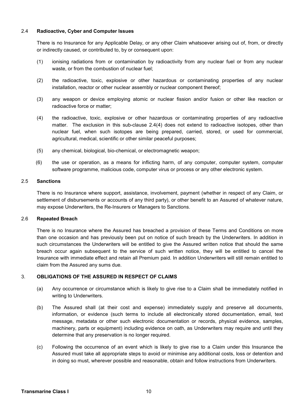#### 2.4 **Radioactive, Cyber and Computer Issues**

There is no Insurance for any Applicable Delay, or any other Claim whatsoever arising out of, from, or directly or indirectly caused, or contributed to, by or consequent upon:

- (1) ionising radiations from or contamination by radioactivity from any nuclear fuel or from any nuclear waste, or from the combustion of nuclear fuel;
- (2) the radioactive, toxic, explosive or other hazardous or contaminating properties of any nuclear installation, reactor or other nuclear assembly or nuclear component thereof;
- (3) any weapon or device employing atomic or nuclear fission and/or fusion or other like reaction or radioactive force or matter;
- (4) the radioactive, toxic, explosive or other hazardous or contaminating properties of any radioactive matter. The exclusion in this sub-clause 2.4(4) does not extend to radioactive isotopes, other than nuclear fuel, when such isotopes are being prepared, carried, stored, or used for commercial, agricultural, medical, scientific or other similar peaceful purposes;
- (5) any chemical, biological, bio-chemical, or electromagnetic weapon;
- (6) the use or operation, as a means for inflicting harm, of any computer, computer system, computer software programme, malicious code, computer virus or process or any other electronic system.

#### 2.5 **Sanctions**

 There is no Insurance where support, assistance, involvement, payment (whether in respect of any Claim, or settlement of disbursements or accounts of any third party), or other benefit to an Assured of whatever nature, may expose Underwriters, the Re-Insurers or Managers to Sanctions.

#### 2.6 **Repeated Breach**

There is no Insurance where the Assured has breached a provision of these Terms and Conditions on more than one occasion and has previously been put on notice of such breach by the Underwriters. In addition in such circumstances the Underwriters will be entitled to give the Assured written notice that should the same breach occur again subsequent to the service of such written notice, they will be entitled to cancel the Insurance with immediate effect and retain all Premium paid. In addition Underwriters will still remain entitled to claim from the Assured any sums due.

#### 3. **OBLIGATIONS OF THE ASSURED IN RESPECT OF CLAIMS**

- (a) Any occurrence or circumstance which is likely to give rise to a Claim shall be immediately notified in writing to Underwriters.
- (b) The Assured shall (at their cost and expense) immediately supply and preserve all documents, information, or evidence (such terms to include all electronically stored documentation, email, text message, metadata or other such electronic documentation or records, physical evidence, samples, machinery, parts or equipment) including evidence on oath, as Underwriters may require and until they determine that any preservation is no longer required.
- (c) Following the occurrence of an event which is likely to give rise to a Claim under this Insurance the Assured must take all appropriate steps to avoid or minimise any additional costs, loss or detention and in doing so must, wherever possible and reasonable, obtain and follow instructions from Underwriters.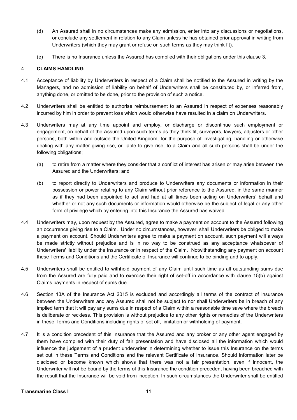- (d) An Assured shall in no circumstances make any admission, enter into any discussions or negotiations, or conclude any settlement in relation to any Claim unless he has obtained prior approval in writing from Underwriters (which they may grant or refuse on such terms as they may think fit).
- (e) There is no Insurance unless the Assured has complied with their obligations under this clause 3.

# 4. **CLAIMS HANDLING**

- 4.1 Acceptance of liability by Underwriters in respect of a Claim shall be notified to the Assured in writing by the Managers, and no admission of liability on behalf of Underwriters shall be constituted by, or inferred from, anything done, or omitted to be done, prior to the provision of such a notice.
- 4.2 Underwriters shall be entitled to authorise reimbursement to an Assured in respect of expenses reasonably incurred by him in order to prevent loss which would otherwise have resulted in a claim on Underwriters.
- 4.3 Underwriters may at any time appoint and employ, or discharge or discontinue such employment or engagement, on behalf of the Assured upon such terms as they think fit, surveyors, lawyers, adjusters or other persons, both within and outside the United Kingdom, for the purpose of investigating, handling or otherwise dealing with any matter giving rise, or liable to give rise, to a Claim and all such persons shall be under the following obligations;
	- (a) to retire from a matter where they consider that a conflict of interest has arisen or may arise between the Assured and the Underwriters; and
	- (b) to report directly to Underwriters and produce to Underwriters any documents or information in their possession or power relating to any Claim without prior reference to the Assured, in the same manner as if they had been appointed to act and had at all times been acting on Underwriters' behalf and whether or not any such documents or information would otherwise be the subject of legal or any other form of privilege which by entering into this Insurance the Assured has waived.
- 4.4 Underwriters may, upon request by the Assured, agree to make a payment on account to the Assured following an occurrence giving rise to a Claim. Under no circumstances, however, shall Underwriters be obliged to make a payment on account. Should Underwriters agree to make a payment on account, such payment will always be made strictly without prejudice and is in no way to be construed as any acceptance whatsoever of Underwriters' liability under the Insurance or in respect of the Claim. Notwithstanding any payment on account these Terms and Conditions and the Certificate of Insurance will continue to be binding and to apply.
- 4.5 Underwriters shall be entitled to withhold payment of any Claim until such time as all outstanding sums due from the Assured are fully paid and to exercise their right of set-off in accordance with clause 15(b) against Claims payments in respect of sums due.
- 4.6 Section 13A of the Insurance Act 2015 is excluded and accordingly all terms of the contract of insurance between the Underwriters and any Assured shall not be subject to nor shall Underwriters be in breach of any implied term that it will pay any sums due in respect of a Claim within a reasonable time save where the breach is deliberate or reckless. This provision is without prejudice to any other rights or remedies of the Underwriters in these Terms and Conditions including rights of set off, limitation or withholding of payment.
- 4.7 It is a condition precedent of this Insurance that the Assured and any broker or any other agent engaged by them have complied with their duty of fair presentation and have disclosed all the information which would influence the judgement of a prudent underwriter in determining whether to issue this Insurance on the terms set out in these Terms and Conditions and the relevant Certificate of Insurance. Should information later be disclosed or become known which shows that there was not a fair presentation, even if innocent, the Underwriter will not be bound by the terms of this Insurance the condition precedent having been breached with the result that the Insurance will be void from inception. In such circumstances the Underwriter shall be entitled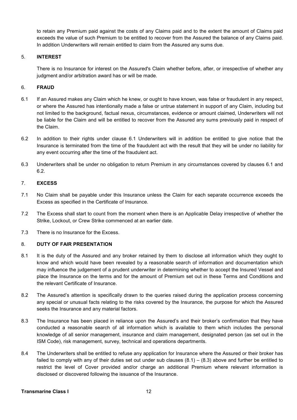to retain any Premium paid against the costs of any Claims paid and to the extent the amount of Claims paid exceeds the value of such Premium to be entitled to recover from the Assured the balance of any Claims paid. In addition Underwriters will remain entitled to claim from the Assured any sums due.

# 5. **INTEREST**

There is no Insurance for interest on the Assured's Claim whether before, after, or irrespective of whether any judgment and/or arbitration award has or will be made.

# 6. **FRAUD**

- 6.1 If an Assured makes any Claim which he knew, or ought to have known, was false or fraudulent in any respect, or where the Assured has intentionally made a false or untrue statement in support of any Claim, including but not limited to the background, factual nexus, circumstances, evidence or amount claimed, Underwriters will not be liable for the Claim and will be entitled to recover from the Assured any sums previously paid in respect of the Claim.
- 6.2 In addition to their rights under clause 6.1 Underwriters will in addition be entitled to give notice that the Insurance is terminated from the time of the fraudulent act with the result that they will be under no liability for any event occurring after the time of the fraudulent act.
- 6.3 Underwriters shall be under no obligation to return Premium in any circumstances covered by clauses 6.1 and 6.2.

# 7. **EXCESS**

- 7.1 No Claim shall be payable under this Insurance unless the Claim for each separate occurrence exceeds the Excess as specified in the Certificate of Insurance.
- 7.2 The Excess shall start to count from the moment when there is an Applicable Delay irrespective of whether the Strike, Lockout, or Crew Strike commenced at an earlier date.
- 7.3 There is no Insurance for the Excess.

#### 8. **DUTY OF FAIR PRESENTATION**

- 8.1 It is the duty of the Assured and any broker retained by them to disclose all information which they ought to know and which would have been revealed by a reasonable search of information and documentation which may influence the judgement of a prudent underwriter in determining whether to accept the Insured Vessel and place the Insurance on the terms and for the amount of Premium set out in these Terms and Conditions and the relevant Certificate of Insurance.
- 8.2 The Assured's attention is specifically drawn to the queries raised during the application process concerning any special or unusual facts relating to the risks covered by the Insurance, the purpose for which the Assured seeks the Insurance and any material factors.
- 8.3 The Insurance has been placed in reliance upon the Assured's and their broker's confirmation that they have conducted a reasonable search of all information which is available to them which includes the personal knowledge of all senior management, insurance and claim management, designated person (as set out in the ISM Code), risk management, survey, technical and operations departments.
- 8.4 The Underwriters shall be entitled to refuse any application for Insurance where the Assured or their broker has failed to comply with any of their duties set out under sub clauses  $(8.1) - (8.3)$  above and further be entitled to restrict the level of Cover provided and/or charge an additional Premium where relevant information is disclosed or discovered following the issuance of the Insurance.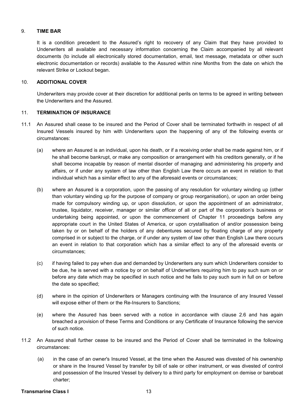#### 9. **TIME BAR**

It is a condition precedent to the Assured's right to recovery of any Claim that they have provided to Underwriters all available and necessary information concerning the Claim accompanied by all relevant documents (to include all electronically stored documentation, email, text message, metadata or other such electronic documentation or records) available to the Assured within nine Months from the date on which the relevant Strike or Lockout began.

#### 10. **ADDITIONAL COVER**

Underwriters may provide cover at their discretion for additional perils on terms to be agreed in writing between the Underwriters and the Assured.

# 11. **TERMINATION OF INSURANCE**

- 11.1 An Assured shall cease to be insured and the Period of Cover shall be terminated forthwith in respect of all Insured Vessels insured by him with Underwriters upon the happening of any of the following events or circumstances:
	- (a) where an Assured is an individual, upon his death, or if a receiving order shall be made against him, or if he shall become bankrupt, or make any composition or arrangement with his creditors generally, or if he shall become incapable by reason of mental disorder of managing and administering his property and affairs, or if under any system of law other than English Law there occurs an event in relation to that individual which has a similar effect to any of the aforesaid events or circumstances;
	- (b) where an Assured is a corporation, upon the passing of any resolution for voluntary winding up (other than voluntary winding up for the purpose of company or group reorganisation), or upon an order being made for compulsory winding up, or upon dissolution, or upon the appointment of an administrator, trustee, liquidator, receiver, manager or similar officer of all or part of the corporation's business or undertaking being appointed, or upon the commencement of Chapter 11 proceedings before any appropriate court in the United States of America, or upon crystallisation of and/or possession being taken by or on behalf of the holders of any debentures secured by floating charge of any property comprised in or subject to the charge, or if under any system of law other than English Law there occurs an event in relation to that corporation which has a similar effect to any of the aforesaid events or circumstances;
	- (c) if having failed to pay when due and demanded by Underwriters any sum which Underwriters consider to be due, he is served with a notice by or on behalf of Underwriters requiring him to pay such sum on or before any date which may be specified in such notice and he fails to pay such sum in full on or before the date so specified;
	- (d) where in the opinion of Underwriters or Managers continuing with the Insurance of any Insured Vessel will expose either of them or the Re-Insurers to Sanctions:
	- (e) where the Assured has been served with a notice in accordance with clause 2.6 and has again breached a provision of these Terms and Conditions or any Certificate of Insurance following the service of such notice.
- 11.2 An Assured shall further cease to be insured and the Period of Cover shall be terminated in the following circumstances:
	- (a) in the case of an owner's Insured Vessel, at the time when the Assured was divested of his ownership or share in the Insured Vessel by transfer by bill of sale or other instrument, or was divested of control and possession of the Insured Vessel by delivery to a third party for employment on demise or bareboat charter;

#### **Transmarine Class I 13**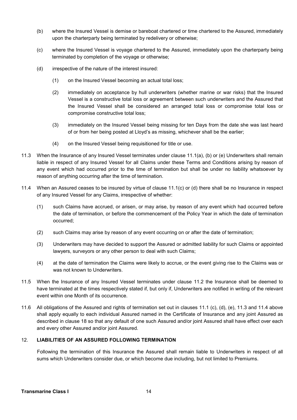- (b) where the Insured Vessel is demise or bareboat chartered or time chartered to the Assured, immediately upon the charterparty being terminated by redelivery or otherwise;
- (c) where the Insured Vessel is voyage chartered to the Assured, immediately upon the charterparty being terminated by completion of the voyage or otherwise;
- (d) irrespective of the nature of the interest insured:
	- (1) on the Insured Vessel becoming an actual total loss;
	- (2) immediately on acceptance by hull underwriters (whether marine or war risks) that the Insured Vessel is a constructive total loss or agreement between such underwriters and the Assured that the Insured Vessel shall be considered an arranged total loss or compromise total loss or compromise constructive total loss;
	- (3) immediately on the Insured Vessel being missing for ten Days from the date she was last heard of or from her being posted at Lloyd's as missing, whichever shall be the earlier;
	- (4) on the Insured Vessel being requisitioned for title or use.
- 11.3 When the Insurance of any Insured Vessel terminates under clause 11.1(a), (b) or (e) Underwriters shall remain liable in respect of any Insured Vessel for all Claims under these Terms and Conditions arising by reason of any event which had occurred prior to the time of termination but shall be under no liability whatsoever by reason of anything occurring after the time of termination.
- 11.4 When an Assured ceases to be insured by virtue of clause 11.1(c) or (d) there shall be no Insurance in respect of any Insured Vessel for any Claims, irrespective of whether:
	- (1) such Claims have accrued, or arisen, or may arise, by reason of any event which had occurred before the date of termination, or before the commencement of the Policy Year in which the date of termination occurred;
	- (2) such Claims may arise by reason of any event occurring on or after the date of termination;
	- (3) Underwriters may have decided to support the Assured or admitted liability for such Claims or appointed lawyers, surveyors or any other person to deal with such Claims;
	- (4) at the date of termination the Claims were likely to accrue, or the event giving rise to the Claims was or was not known to Underwriters.
- 11.5 When the Insurance of any Insured Vessel terminates under clause 11.2 the Insurance shall be deemed to have terminated at the times respectively stated if, but only if, Underwriters are notified in writing of the relevant event within one Month of its occurrence.
- 11.6 All obligations of the Assured and rights of termination set out in clauses 11.1 (c), (d), (e), 11.3 and 11.4 above shall apply equally to each individual Assured named in the Certificate of Insurance and any joint Assured as described in clause 18 so that any default of one such Assured and/or joint Assured shall have effect over each and every other Assured and/or joint Assured.

#### 12. **LIABILITIES OF AN ASSURED FOLLOWING TERMINATION**

Following the termination of this Insurance the Assured shall remain liable to Underwriters in respect of all sums which Underwriters consider due, or which become due including, but not limited to Premiums.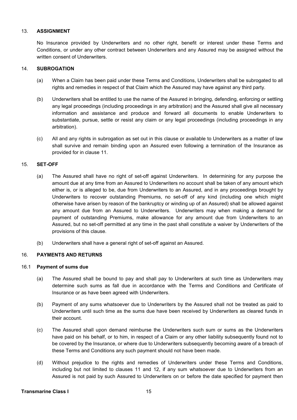#### 13. **ASSIGNMENT**

No Insurance provided by Underwriters and no other right, benefit or interest under these Terms and Conditions, or under any other contract between Underwriters and any Assured may be assigned without the written consent of Underwriters.

#### 14. **SUBROGATION**

- (a) When a Claim has been paid under these Terms and Conditions, Underwriters shall be subrogated to all rights and remedies in respect of that Claim which the Assured may have against any third party.
- (b) Underwriters shall be entitled to use the name of the Assured in bringing, defending, enforcing or settling any legal proceedings (including proceedings in any arbitration) and the Assured shall give all necessary information and assistance and produce and forward all documents to enable Underwriters to substantiate, pursue, settle or resist any claim or any legal proceedings (including proceedings in any arbitration).
- (c) All and any rights in subrogation as set out in this clause or available to Underwriters as a matter of law shall survive and remain binding upon an Assured even following a termination of the Insurance as provided for in clause 11.

# 15. **SET-OFF**

- (a) The Assured shall have no right of set-off against Underwriters. In determining for any purpose the amount due at any time from an Assured to Underwriters no account shall be taken of any amount which either is, or is alleged to be, due from Underwriters to an Assured, and in any proceedings brought by Underwriters to recover outstanding Premiums, no set-off of any kind (including one which might otherwise have arisen by reason of the bankruptcy or winding up of an Assured) shall be allowed against any amount due from an Assured to Underwriters. Underwriters may when making a demand for payment of outstanding Premiums, make allowance for any amount due from Underwriters to an Assured, but no set-off permitted at any time in the past shall constitute a waiver by Underwriters of the provisions of this clause.
- (b) Underwriters shall have a general right of set-off against an Assured.

#### 16. **PAYMENTS AND RETURNS**

#### 16.1 **Payment of sums due**

- (a) The Assured shall be bound to pay and shall pay to Underwriters at such time as Underwriters may determine such sums as fall due in accordance with the Terms and Conditions and Certificate of Insurance or as have been agreed with Underwriters.
- (b) Payment of any sums whatsoever due to Underwriters by the Assured shall not be treated as paid to Underwriters until such time as the sums due have been received by Underwriters as cleared funds in their account.
- (c) The Assured shall upon demand reimburse the Underwriters such sum or sums as the Underwriters have paid on his behalf, or to him, in respect of a Claim or any other liability subsequently found not to be covered by the Insurance, or where due to Underwriters subsequently becoming aware of a breach of these Terms and Conditions any such payment should not have been made.
- (d) Without prejudice to the rights and remedies of Underwriters under these Terms and Conditions, including but not limited to clauses 11 and 12, if any sum whatsoever due to Underwriters from an Assured is not paid by such Assured to Underwriters on or before the date specified for payment then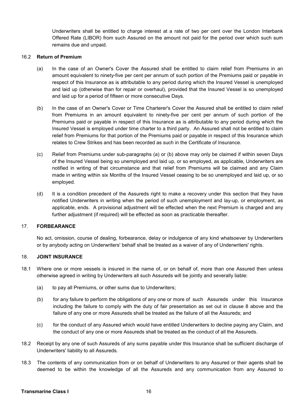Underwriters shall be entitled to charge interest at a rate of two per cent over the London Interbank Offered Rate (LIBOR) from such Assured on the amount not paid for the period over which such sum remains due and unpaid.

#### 16.2 **Return of Premium**

- (a) In the case of an Owner's Cover the Assured shall be entitled to claim relief from Premiums in an amount equivalent to ninety-five per cent per annum of such portion of the Premiums paid or payable in respect of this Insurance as is attributable to any period during which the Insured Vessel is unemployed and laid up (otherwise than for repair or overhaul), provided that the Insured Vessel is so unemployed and laid up for a period of fifteen or more consecutive Days.
- (b) In the case of an Owner's Cover or Time Charterer's Cover the Assured shall be entitled to claim relief from Premiums in an amount equivalent to ninety-five per cent per annum of such portion of the Premiums paid or payable in respect of this Insurance as is attributable to any period during which the Insured Vessel is employed under time charter to a third party. An Assured shall not be entitled to claim relief from Premiums for that portion of the Premiums paid or payable in respect of this Insurance which relates to Crew Strikes and has been recorded as such in the Certificate of Insurance.
- (c) Relief from Premiums under sub-paragraphs (a) or (b) above may only be claimed if within seven Days of the Insured Vessel being so unemployed and laid up, or so employed, as applicable, Underwriters are notified in writing of that circumstance and that relief from Premiums will be claimed and any Claim made in writing within six Months of the Insured Vessel ceasing to be so unemployed and laid up, or so employed.
- (d) It is a condition precedent of the Assureds right to make a recovery under this section that they have notified Underwriters in writing when the period of such unemployment and lay-up, or employment, as applicable, ends. A provisional adjustment will be effected when the next Premium is charged and any further adjustment (if required) will be effected as soon as practicable thereafter.

# 17. **FORBEARANCE**

No act, omission, course of dealing, forbearance, delay or indulgence of any kind whatsoever by Underwriters or by anybody acting on Underwriters' behalf shall be treated as a waiver of any of Underwriters' rights.

#### 18. **JOINT INSURANCE**

- 18.1 Where one or more vessels is insured in the name of, or on behalf of, more than one Assured then unless otherwise agreed in writing by Underwriters all such Assureds will be jointly and severally liable:
	- (a) to pay all Premiums, or other sums due to Underwriters;
	- (b) for any failure to perform the obligations of any one or more of such Assureds under this Insurance including the failure to comply with the duty of fair presentation as set out in clause 8 above and the failure of any one or more Assureds shall be treated as the failure of all the Assureds; and
	- (c) for the conduct of any Assured which would have entitled Underwriters to decline paying any Claim, and the conduct of any one or more Assureds shall be treated as the conduct of all the Assureds.
- 18.2 Receipt by any one of such Assureds of any sums payable under this Insurance shall be sufficient discharge of Underwriters' liability to all Assureds.
- 18.3 The contents of any communication from or on behalf of Underwriters to any Assured or their agents shall be deemed to be within the knowledge of all the Assureds and any communication from any Assured to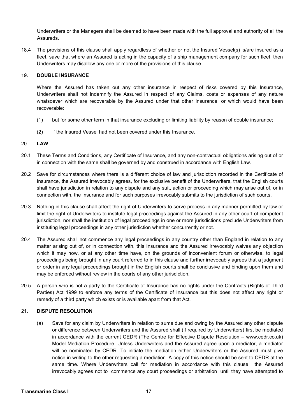Underwriters or the Managers shall be deemed to have been made with the full approval and authority of all the Assureds.

18.4 The provisions of this clause shall apply regardless of whether or not the Insured Vessel(s) is/are insured as a fleet, save that where an Assured is acting in the capacity of a ship management company for such fleet, then Underwriters may disallow any one or more of the provisions of this clause.

# 19. **DOUBLE INSURANCE**

Where the Assured has taken out any other insurance in respect of risks covered by this Insurance, Underwriters shall not indemnify the Assured in respect of any Claims, costs or expenses of any nature whatsoever which are recoverable by the Assured under that other insurance, or which would have been recoverable:

- (1) but for some other term in that insurance excluding or limiting liability by reason of double insurance;
- (2) if the Insured Vessel had not been covered under this Insurance.

# 20. **LAW**

- 20.1 These Terms and Conditions, any Certificate of Insurance, and any non-contractual obligations arising out of or in connection with the same shall be governed by and construed in accordance with English Law.
- 20.2 Save for circumstances where there is a different choice of law and jurisdiction recorded in the Certificate of Insurance, the Assured irrevocably agrees, for the exclusive benefit of the Underwriters, that the English courts shall have jurisdiction in relation to any dispute and any suit, action or proceeding which may arise out of, or in connection with, the Insurance and for such purposes irrevocably submits to the jurisdiction of such courts.
- 20.3 Nothing in this clause shall affect the right of Underwriters to serve process in any manner permitted by law or limit the right of Underwriters to institute legal proceedings against the Assured in any other court of competent jurisdiction, nor shall the institution of legal proceedings in one or more jurisdictions preclude Underwriters from instituting legal proceedings in any other jurisdiction whether concurrently or not.
- 20.4 The Assured shall not commence any legal proceedings in any country other than England in relation to any matter arising out of, or in connection with, this Insurance and the Assured irrevocably waives any objection which it may now, or at any other time have, on the grounds of inconvenient forum or otherwise, to legal proceedings being brought in any court referred to in this clause and further irrevocably agrees that a judgment or order in any legal proceedings brought in the English courts shall be conclusive and binding upon them and may be enforced without review in the courts of any other jurisdiction.
- 20.5 A person who is not a party to the Certificate of Insurance has no rights under the Contracts (Rights of Third Parties) Act 1999 to enforce any terms of the Certificate of Insurance but this does not affect any right or remedy of a third party which exists or is available apart from that Act.

# 21. **DISPUTE RESOLUTION**

(a) Save for any claim by Underwriters in relation to sums due and owing by the Assured any other dispute or difference between Underwriters and the Assured shall (if required by Underwriters) first be mediated in accordance with the current CEDR (The Centre for Effective Dispute Resolution – www.cedr.co.uk) Model Mediation Procedure. Unless Underwriters and the Assured agree upon a mediator, a mediator will be nominated by CEDR. To initiate the mediation either Underwriters or the Assured must give notice in writing to the other requesting a mediation. A copy of this notice should be sent to CEDR at the same time. Where Underwriters call for mediation in accordance with this clause the Assured irrevocably agrees not to commence any court proceedings or arbitration until they have attempted to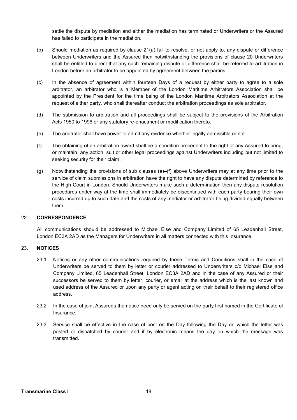settle the dispute by mediation and either the mediation has terminated or Underwriters or the Assured has failed to participate in the mediation.

- (b) Should mediation as required by clause 21(a) fail to resolve, or not apply to, any dispute or difference between Underwriters and the Assured then notwithstanding the provisions of clause 20 Underwriters shall be entitled to direct that any such remaining dispute or difference shall be referred to arbitration in London before an arbitrator to be appointed by agreement between the parties.
- (c) In the absence of agreement within fourteen Days of a request by either party to agree to a sole arbitrator, an arbitrator who is a Member of the London Maritime Arbitrators Association shall be appointed by the President for the time being of the London Maritime Arbitrators Association at the request of either party, who shall thereafter conduct the arbitration proceedings as sole arbitrator.
- (d) The submission to arbitration and all proceedings shall be subject to the provisions of the Arbitration Acts 1950 to 1996 or any statutory re-enactment or modification thereto.
- (e) The arbitrator shall have power to admit any evidence whether legally admissible or not.
- (f) The obtaining of an arbitration award shall be a condition precedent to the right of any Assured to bring, or maintain, any action, suit or other legal proceedings against Underwriters including but not limited to seeking security for their claim.
- (g) Notwithstanding the provisions of sub clauses (a)–(f) above Underwriters may at any time prior to the service of claim submissions in arbitration have the right to have any dispute determined by reference to the High Court in London. Should Underwriters make such a determination then any dispute resolution procedures under way at the time shall immediately be discontinued with each party bearing their own costs incurred up to such date and the costs of any mediator or arbitrator being divided equally between them.

#### 22. **CORRESPONDENCE**

All communications should be addressed to Michael Else and Company Limited of 65 Leadenhall Street, London EC3A 2AD as the Managers for Underwriters in all matters connected with this Insurance.

# 23. **NOTICES**

- 23.1 Notices or any other communications required by these Terms and Conditions shall in the case of Underwriters be served to them by letter or courier addressed to Underwriters c/o Michael Else and Company Limited, 65 Leadenhall Street, London EC3A 2AD and in the case of any Assured or their successors be served to them by letter, courier, or email at the address which is the last known and used address of the Assured or upon any party or agent acting on their behalf to their registered office address.
- 23.2 In the case of joint Assureds the notice need only be served on the party first named in the Certificate of Insurance.
- 23.3 Service shall be effective in the case of post on the Day following the Day on which the letter was posted or dispatched by courier and if by electronic means the day on which the message was transmitted.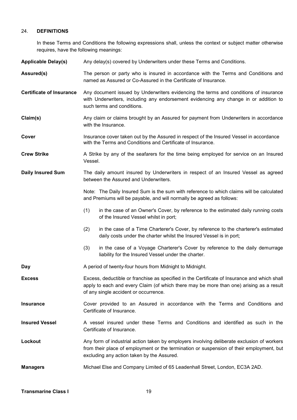#### 24. **DEFINITIONS**

In these Terms and Conditions the following expressions shall, unless the context or subject matter otherwise requires, have the following meanings:

**Applicable Delay(s)** Any delay(s) covered by Underwriters under these Terms and Conditions.

Assured(s) The person or party who is insured in accordance with the Terms and Conditions and named as Assured or Co-Assured in the Certificate of Insurance.

**Certificate of Insurance** Any document issued by Underwriters evidencing the terms and conditions of insurance with Underwriters, including any endorsement evidencing any change in or addition to such terms and conditions.

**Claim(s)** Any claim or claims brought by an Assured for payment from Underwriters in accordance with the Insurance

**Cover** Insurance cover taken out by the Assured in respect of the Insured Vessel in accordance with the Terms and Conditions and Certificate of Insurance.

**Crew Strike** A Strike by any of the seafarers for the time being employed for service on an Insured Vessel.

**Daily Insured Sum** The daily amount insured by Underwriters in respect of an Insured Vessel as agreed between the Assured and Underwriters.

> Note: The Daily Insured Sum is the sum with reference to which claims will be calculated and Premiums will be payable, and will normally be agreed as follows:

- (1) in the case of an Owner's Cover, by reference to the estimated daily running costs of the Insured Vessel whilst in port;
- (2) in the case of a Time Charterer's Cover, by reference to the charterer's estimated daily costs under the charter whilst the Insured Vessel is in port;
- (3) in the case of a Voyage Charterer's Cover by reference to the daily demurrage liability for the Insured Vessel under the charter.

**Day A** period of twenty-four hours from Midnight to Midnight.

- **Excess** Excess, deductible or franchise as specified in the Certificate of Insurance and which shall apply to each and every Claim (of which there may be more than one) arising as a result of any single accident or occurrence.
- **Insurance** Cover provided to an Assured in accordance with the Terms and Conditions and Certificate of Insurance.

**Insured Vessel** A vessel insured under these Terms and Conditions and identified as such in the Certificate of Insurance.

**Lockout** Any form of industrial action taken by employers involving deliberate exclusion of workers from their place of employment or the termination or suspension of their employment, but excluding any action taken by the Assured.

**Managers** Michael Else and Company Limited of 65 Leadenhall Street, London, EC3A 2AD.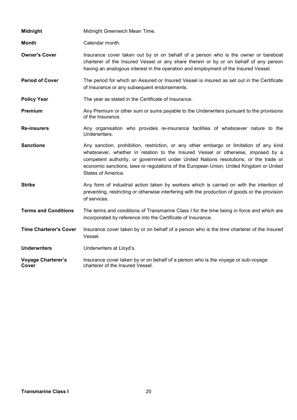| <b>Midnight</b>                    | Midnight Greenwich Mean Time.                                                                                                                                                                                                                                                                                                                                                       |
|------------------------------------|-------------------------------------------------------------------------------------------------------------------------------------------------------------------------------------------------------------------------------------------------------------------------------------------------------------------------------------------------------------------------------------|
| <b>Month</b>                       | Calendar month.                                                                                                                                                                                                                                                                                                                                                                     |
| <b>Owner's Cover</b>               | Insurance cover taken out by or on behalf of a person who is the owner or bareboat<br>charterer of the Insured Vessel or any share therein or by or on behalf of any person<br>having an analogous interest in the operation and employment of the Insured Vessel.                                                                                                                  |
| <b>Period of Cover</b>             | The period for which an Assured or Insured Vessel is insured as set out in the Certificate<br>of Insurance or any subsequent endorsements.                                                                                                                                                                                                                                          |
| <b>Policy Year</b>                 | The year as stated in the Certificate of Insurance.                                                                                                                                                                                                                                                                                                                                 |
| Premium                            | Any Premium or other sum or sums payable to the Underwriters pursuant to the provisions<br>of the Insurance.                                                                                                                                                                                                                                                                        |
| <b>Re-insurers</b>                 | Any organisation who provides re-insurance facilities of whatsoever nature to the<br>Underwriters.                                                                                                                                                                                                                                                                                  |
| <b>Sanctions</b>                   | Any sanction, prohibition, restriction, or any other embargo or limitation of any kind<br>whatsoever, whether in relation to the Insured Vessel or otherwise, imposed by a<br>competent authority, or government under United Nations resolutions, or the trade or<br>economic sanctions, laws or regulations of the European Union, United Kingdom or United<br>States of America. |
| <b>Strike</b>                      | Any form of industrial action taken by workers which is carried on with the intention of<br>preventing, restricting or otherwise interfering with the production of goods or the provision<br>of services.                                                                                                                                                                          |
| <b>Terms and Conditions</b>        | The terms and conditions of Transmarine Class I for the time being in force and which are<br>incorporated by reference into the Certificate of Insurance.                                                                                                                                                                                                                           |
| <b>Time Charterer's Cover</b>      | Insurance cover taken by or on behalf of a person who is the time charterer of the Insured<br>Vessel.                                                                                                                                                                                                                                                                               |
| <b>Underwriters</b>                | Underwriters at Lloyd's.                                                                                                                                                                                                                                                                                                                                                            |
| <b>Voyage Charterer's</b><br>Cover | Insurance cover taken by or on behalf of a person who is the voyage or sub-voyage<br>charterer of the Insured Vessel.                                                                                                                                                                                                                                                               |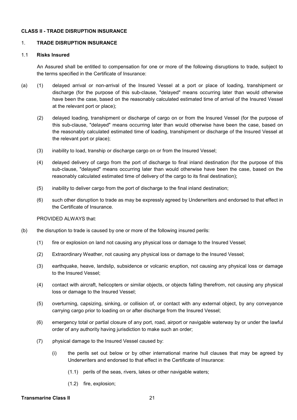#### **CLASS II - TRADE DISRUPTION INSURANCE**

#### 1. **TRADE DISRUPTION INSURANCE**

#### 1.1 **Risks Insured**

An Assured shall be entitled to compensation for one or more of the following disruptions to trade, subject to the terms specified in the Certificate of Insurance:

- (a) (1) delayed arrival or non-arrival of the Insured Vessel at a port or place of loading, transhipment or discharge (for the purpose of this sub-clause, "delayed" means occurring later than would otherwise have been the case, based on the reasonably calculated estimated time of arrival of the Insured Vessel at the relevant port or place);
	- (2) delayed loading, transhipment or discharge of cargo on or from the Insured Vessel (for the purpose of this sub-clause, "delayed" means occurring later than would otherwise have been the case, based on the reasonably calculated estimated time of loading, transhipment or discharge of the Insured Vessel at the relevant port or place);
	- (3) inability to load, tranship or discharge cargo on or from the Insured Vessel;
	- (4) delayed delivery of cargo from the port of discharge to final inland destination (for the purpose of this sub-clause, "delayed" means occurring later than would otherwise have been the case, based on the reasonably calculated estimated time of delivery of the cargo to its final destination);
	- (5) inability to deliver cargo from the port of discharge to the final inland destination;
	- (6) such other disruption to trade as may be expressly agreed by Underwriters and endorsed to that effect in the Certificate of Insurance.

PROVIDED ALWAYS that:

- (b) the disruption to trade is caused by one or more of the following insured perils:
	- (1) fire or explosion on land not causing any physical loss or damage to the Insured Vessel;
	- (2) Extraordinary Weather, not causing any physical loss or damage to the Insured Vessel;
	- (3) earthquake, heave, landslip, subsidence or volcanic eruption, not causing any physical loss or damage to the Insured Vessel;
	- (4) contact with aircraft, helicopters or similar objects, or objects falling therefrom, not causing any physical loss or damage to the Insured Vessel;
	- (5) overturning, capsizing, sinking, or collision of, or contact with any external object, by any conveyance carrying cargo prior to loading on or after discharge from the Insured Vessel;
	- (6) emergency total or partial closure of any port, road, airport or navigable waterway by or under the lawful order of any authority having jurisdiction to make such an order;
	- (7) physical damage to the Insured Vessel caused by:
		- (i) the perils set out below or by other international marine hull clauses that may be agreed by Underwriters and endorsed to that effect in the Certificate of Insurance:
			- (1.1) perils of the seas, rivers, lakes or other navigable waters;
			- (1.2) fire, explosion;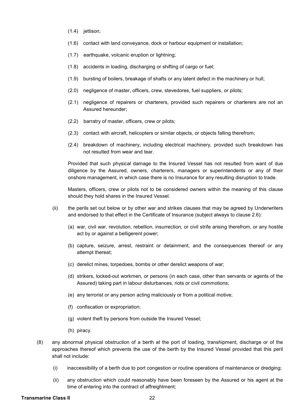- $(1.4)$  jettison;
- (1.6) contact with land conveyance, dock or harbour equipment or installation;
- (1.7) earthquake, volcanic eruption or lightning;
- (1.8) accidents in loading, discharging or shifting of cargo or fuel;
- (1.9) bursting of boilers, breakage of shafts or any latent defect in the machinery or hull;
- (2.0) negligence of master, officers, crew, stevedores, fuel suppliers, or pilots;
- (2.1) negligence of repairers or charterers, provided such repairers or charterers are not an Assured hereunder;
- (2.2) barratry of master, officers, crew or pilots;
- (2.3) contact with aircraft, helicopters or similar objects, or objects falling therefrom;
- (2.4) breakdown of machinery, including electrical machinery, provided such breakdown has not resulted from wear and tear.

Provided that such physical damage to the Insured Vessel has not resulted from want of due diligence by the Assured, owners, charterers, managers or superintendents or any of their onshore management, in which case there is no Insurance for any resulting disruption to trade.

Masters, officers, crew or pilots not to be considered owners within the meaning of this clause should they hold shares in the Insured Vessel.

- (ii) the perils set out below or by other war and strikes clauses that may be agreed by Underwriters and endorsed to that effect in the Certificate of Insurance (subject always to clause 2.6):
	- (a) war, civil war, revolution, rebellion, insurrection, or civil strife arising therefrom, or any hostile act by or against a belligerent power;
	- (b) capture, seizure, arrest, restraint or detainment, and the consequences thereof or any attempt thereat;
	- (c) derelict mines, torpedoes, bombs or other derelict weapons of war;
	- (d) strikers, locked-out workmen, or persons (in each case, other than servants or agents of the Assured) taking part in labour disturbances, riots or civil commotions;
	- (e) any terrorist or any person acting maliciously or from a political motive;
	- (f) confiscation or expropriation;
	- (g) violent theft by persons from outside the Insured Vessel;
	- (h) piracy.
- (8) any abnormal physical obstruction of a berth at the port of loading, transhipment, discharge or of the approaches thereof which prevents the use of the berth by the Insured Vessel provided that this peril shall not include:
	- (i) inaccessibility of a berth due to port congestion or routine operations of maintenance or dredging;
	- (ii) any obstruction which could reasonably have been foreseen by the Assured or his agent at the time of entering into the contract of affreightment;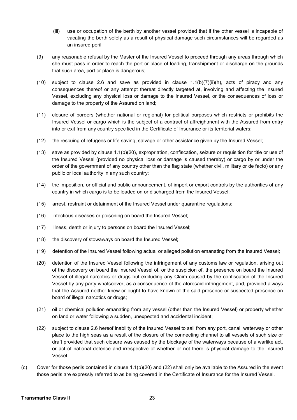- (iii) use or occupation of the berth by another vessel provided that if the other vessel is incapable of vacating the berth solely as a result of physical damage such circumstances will be regarded as an insured peril;
- (9) any reasonable refusal by the Master of the Insured Vessel to proceed through any areas through which she must pass in order to reach the port or place of loading, transhipment or discharge on the grounds that such area, port or place is dangerous;
- $(10)$  subject to clause 2.6 and save as provided in clause  $1.1(b)(7)(ii)(h)$ , acts of piracy and any consequences thereof or any attempt thereat directly targeted at, involving and affecting the Insured Vessel, excluding any physical loss or damage to the Insured Vessel, or the consequences of loss or damage to the property of the Assured on land;
- (11) closure of borders (whether national or regional) for political purposes which restricts or prohibits the Insured Vessel or cargo which is the subject of a contract of affreightment with the Assured from entry into or exit from any country specified in the Certificate of Insurance or its territorial waters;
- (12) the rescuing of refugees or life saving, salvage or other assistance given by the Insured Vessel;
- (13) save as provided by clause 1.1(b)(20), expropriation, confiscation, seizure or requisition for title or use of the Insured Vessel (provided no physical loss or damage is caused thereby) or cargo by or under the order of the government of any country other than the flag state (whether civil, military or de facto) or any public or local authority in any such country;
- (14) the imposition, or official and public announcement, of import or export controls by the authorities of any country in which cargo is to be loaded on or discharged from the Insured Vessel;
- (15) arrest, restraint or detainment of the Insured Vessel under quarantine regulations;
- (16) infectious diseases or poisoning on board the Insured Vessel;
- (17) illness, death or injury to persons on board the Insured Vessel;
- (18) the discovery of stowaways on board the Insured Vessel;
- (19) detention of the Insured Vessel following actual or alleged pollution emanating from the Insured Vessel;
- (20) detention of the Insured Vessel following the infringement of any customs law or regulation, arising out of the discovery on board the Insured Vessel of, or the suspicion of, the presence on board the Insured Vessel of illegal narcotics or drugs but excluding any Claim caused by the confiscation of the Insured Vessel by any party whatsoever, as a consequence of the aforesaid infringement, and, provided always that the Assured neither knew or ought to have known of the said presence or suspected presence on board of illegal narcotics or drugs;
- (21) oil or chemical pollution emanating from any vessel (other than the Insured Vessel) or property whether on land or water following a sudden, unexpected and accidental incident;
- (22) subject to clause 2.6 hereof inability of the Insured Vessel to sail from any port, canal, waterway or other place to the high seas as a result of the closure of the connecting channel to all vessels of such size or draft provided that such closure was caused by the blockage of the waterways because of a warlike act, or act of national defence and irrespective of whether or not there is physical damage to the Insured Vessel.
- (c) Cover for those perils contained in clause  $1.1(b)(20)$  and  $(22)$  shall only be available to the Assured in the event those perils are expressly referred to as being covered in the Certificate of Insurance for the Insured Vessel.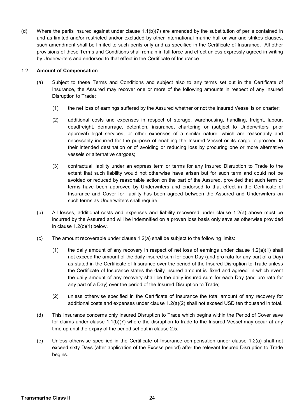(d) Where the perils insured against under clause 1.1(b)(7) are amended by the substitution of perils contained in and as limited and/or restricted and/or excluded by other international marine hull or war and strikes clauses, such amendment shall be limited to such perils only and as specified in the Certificate of Insurance. All other provisions of these Terms and Conditions shall remain in full force and effect unless expressly agreed in writing by Underwriters and endorsed to that effect in the Certificate of Insurance.

#### 1.2 **Amount of Compensation**

- (a) Subject to these Terms and Conditions and subject also to any terms set out in the Certificate of Insurance, the Assured may recover one or more of the following amounts in respect of any Insured Disruption to Trade:
	- (1) the net loss of earnings suffered by the Assured whether or not the Insured Vessel is on charter;
	- (2) additional costs and expenses in respect of storage, warehousing, handling, freight, labour, deadfreight, demurrage, detention, insurance, chartering or (subject to Underwriters' prior approval) legal services, or other expenses of a similar nature, which are reasonably and necessarily incurred for the purpose of enabling the Insured Vessel or its cargo to proceed to their intended destination or of avoiding or reducing loss by procuring one or more alternative vessels or alternative cargoes;
	- (3) contractual liability under an express term or terms for any Insured Disruption to Trade to the extent that such liability would not otherwise have arisen but for such term and could not be avoided or reduced by reasonable action on the part of the Assured, provided that such term or terms have been approved by Underwriters and endorsed to that effect in the Certificate of Insurance and Cover for liability has been agreed between the Assured and Underwriters on such terms as Underwriters shall require.
- (b) All losses, additional costs and expenses and liability recovered under clause 1.2(a) above must be incurred by the Assured and will be indemnified on a proven loss basis only save as otherwise provided in clause 1.2(c)(1) below.
- (c) The amount recoverable under clause 1.2(a) shall be subject to the following limits:
	- (1) the daily amount of any recovery in respect of net loss of earnings under clause 1.2(a)(1) shall not exceed the amount of the daily insured sum for each Day (and pro rata for any part of a Day) as stated in the Certificate of Insurance over the period of the Insured Disruption to Trade unless the Certificate of Insurance states the daily insured amount is 'fixed and agreed' in which event the daily amount of any recovery shall be the daily insured sum for each Day (and pro rata for any part of a Day) over the period of the Insured Disruption to Trade;
	- (2) unless otherwise specified in the Certificate of Insurance the total amount of any recovery for additional costs and expenses under clause 1.2(a)(2) shall not exceed USD ten thousand in total.
- (d) This Insurance concerns only Insured Disruption to Trade which begins within the Period of Cover save for claims under clause 1.1(b)(7) where the disruption to trade to the Insured Vessel may occur at any time up until the expiry of the period set out in clause 2.5.
- (e) Unless otherwise specified in the Certificate of Insurance compensation under clause 1.2(a) shall not exceed sixty Days (after application of the Excess period) after the relevant Insured Disruption to Trade begins.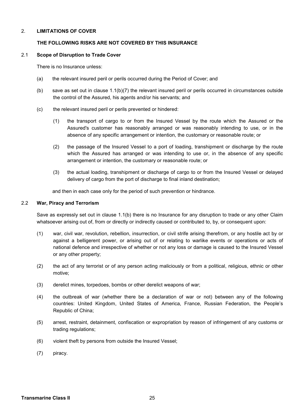#### 2. **LIMITATIONS OF COVER**

#### **THE FOLLOWING RISKS ARE NOT COVERED BY THIS INSURANCE**

#### 2.1 **Scope of Disruption to Trade Cover**

There is no Insurance unless:

- (a) the relevant insured peril or perils occurred during the Period of Cover; and
- (b) save as set out in clause 1.1(b)(7) the relevant insured peril or perils occurred in circumstances outside the control of the Assured, his agents and/or his servants; and
- (c) the relevant insured peril or perils prevented or hindered:
	- (1) the transport of cargo to or from the Insured Vessel by the route which the Assured or the Assured's customer has reasonably arranged or was reasonably intending to use, or in the absence of any specific arrangement or intention, the customary or reasonable route; or
	- (2) the passage of the Insured Vessel to a port of loading, transhipment or discharge by the route which the Assured has arranged or was intending to use or, in the absence of any specific arrangement or intention, the customary or reasonable route; or
	- (3) the actual loading, transhipment or discharge of cargo to or from the Insured Vessel or delayed delivery of cargo from the port of discharge to final inland destination;

and then in each case only for the period of such prevention or hindrance.

#### 2.2 **War, Piracy and Terrorism**

Save as expressly set out in clause 1.1(b) there is no Insurance for any disruption to trade or any other Claim whatsoever arising out of, from or directly or indirectly caused or contributed to, by, or consequent upon:

- (1) war, civil war, revolution, rebellion, insurrection, or civil strife arising therefrom, or any hostile act by or against a belligerent power, or arising out of or relating to warlike events or operations or acts of national defence and irrespective of whether or not any loss or damage is caused to the Insured Vessel or any other property;
- (2) the act of any terrorist or of any person acting maliciously or from a political, religious, ethnic or other motive;
- (3) derelict mines, torpedoes, bombs or other derelict weapons of war;
- (4) the outbreak of war (whether there be a declaration of war or not) between any of the following countries: United Kingdom, United States of America, France, Russian Federation, the People's Republic of China;
- (5) arrest, restraint, detainment, confiscation or expropriation by reason of infringement of any customs or trading regulations;
- (6) violent theft by persons from outside the Insured Vessel;
- (7) piracy.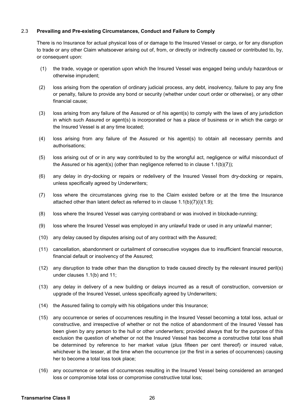#### 2.3 **Prevailing and Pre-existing Circumstances, Conduct and Failure to Comply**

There is no Insurance for actual physical loss of or damage to the Insured Vessel or cargo, or for any disruption to trade or any other Claim whatsoever arising out of, from, or directly or indirectly caused or contributed to, by, or consequent upon:

- (1) the trade, voyage or operation upon which the Insured Vessel was engaged being unduly hazardous or otherwise imprudent;
- (2) loss arising from the operation of ordinary judicial process, any debt, insolvency, failure to pay any fine or penalty, failure to provide any bond or security (whether under court order or otherwise), or any other financial cause;
- (3) loss arising from any failure of the Assured or of his agent(s) to comply with the laws of any jurisdiction in which such Assured or agent(s) is incorporated or has a place of business or in which the cargo or the Insured Vessel is at any time located;
- (4) loss arising from any failure of the Assured or his agent(s) to obtain all necessary permits and authorisations;
- (5) loss arising out of or in any way contributed to by the wrongful act, negligence or wilful misconduct of the Assured or his agent(s) (other than negligence referred to in clause 1.1(b)(7));
- (6) any delay in dry-docking or repairs or redelivery of the Insured Vessel from dry-docking or repairs, unless specifically agreed by Underwriters;
- (7) loss where the circumstances giving rise to the Claim existed before or at the time the Insurance attached other than latent defect as referred to in clause 1.1(b)(7)(i)(1.9);
- (8) loss where the Insured Vessel was carrying contraband or was involved in blockade-running;
- (9) loss where the Insured Vessel was employed in any unlawful trade or used in any unlawful manner;
- (10) any delay caused by disputes arising out of any contract with the Assured;
- (11) cancellation, abandonment or curtailment of consecutive voyages due to insufficient financial resource, financial default or insolvency of the Assured;
- (12) any disruption to trade other than the disruption to trade caused directly by the relevant insured peril(s) under clauses 1.1(b) and 11;
- (13) any delay in delivery of a new building or delays incurred as a result of construction, conversion or upgrade of the Insured Vessel, unless specifically agreed by Underwriters;
- (14) the Assured failing to comply with his obligations under this Insurance;
- (15) any occurrence or series of occurrences resulting in the Insured Vessel becoming a total loss, actual or constructive, and irrespective of whether or not the notice of abandonment of the Insured Vessel has been given by any person to the hull or other underwriters; provided always that for the purpose of this exclusion the question of whether or not the Insured Vessel has become a constructive total loss shall be determined by reference to her market value (plus fifteen per cent thereof) or insured value, whichever is the lesser, at the time when the occurrence (or the first in a series of occurrences) causing her to become a total loss took place;
- (16) any occurrence or series of occurrences resulting in the Insured Vessel being considered an arranged loss or compromise total loss or compromise constructive total loss;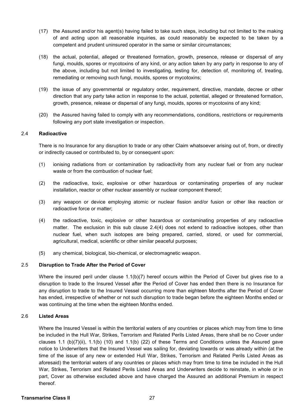- (17) the Assured and/or his agent(s) having failed to take such steps, including but not limited to the making of and acting upon all reasonable inquiries, as could reasonably be expected to be taken by a competent and prudent uninsured operator in the same or similar circumstances;
- (18) the actual, potential, alleged or threatened formation, growth, presence, release or dispersal of any fungi, moulds, spores or mycotoxins of any kind, or any action taken by any party in response to any of the above, including but not limited to investigating, testing for, detection of, monitoring of, treating, remediating or removing such fungi, moulds, spores or mycotoxins;
- (19) the issue of any governmental or regulatory order, requirement, directive, mandate, decree or other direction that any party take action in response to the actual, potential, alleged or threatened formation, growth, presence, release or dispersal of any fungi, moulds, spores or mycotoxins of any kind;
- (20) the Assured having failed to comply with any recommendations, conditions, restrictions or requirements following any port state investigation or inspection.

#### 2.4 **Radioactive**

There is no Insurance for any disruption to trade or any other Claim whatsoever arising out of, from, or directly or indirectly caused or contributed to, by or consequent upon:

- (1) ionising radiations from or contamination by radioactivity from any nuclear fuel or from any nuclear waste or from the combustion of nuclear fuel;
- (2) the radioactive, toxic, explosive or other hazardous or contaminating properties of any nuclear installation, reactor or other nuclear assembly or nuclear component thereof;
- (3) any weapon or device employing atomic or nuclear fission and/or fusion or other like reaction or radioactive force or matter;
- (4) the radioactive, toxic, explosive or other hazardous or contaminating properties of any radioactive matter. The exclusion in this sub clause 2.4(4) does not extend to radioactive isotopes, other than nuclear fuel, when such isotopes are being prepared, carried, stored, or used for commercial, agricultural, medical, scientific or other similar peaceful purposes;
- (5) any chemical, biological, bio-chemical, or electromagnetic weapon.

# 2.5 **Disruption to Trade After the Period of Cover**

Where the insured peril under clause 1.1(b)(7) hereof occurs within the Period of Cover but gives rise to a disruption to trade to the Insured Vessel after the Period of Cover has ended then there is no Insurance for any disruption to trade to the Insured Vessel occurring more than eighteen Months after the Period of Cover has ended, irrespective of whether or not such disruption to trade began before the eighteen Months ended or was continuing at the time when the eighteen Months ended.

# 2.6 **Listed Areas**

 Where the Insured Vessel is within the territorial waters of any countries or places which may from time to time be included in the Hull War, Strikes, Terrorism and Related Perils Listed Areas, there shall be no Cover under clauses 1.1 (b)(7)(ii), 1.1(b) (10) and 1.1(b) (22) of these Terms and Conditions unless the Assured gave notice to Underwriters that the Insured Vessel was sailing for, deviating towards or was already within (at the time of the issue of any new or extended Hull War, Strikes, Terrorism and Related Perils Listed Areas as aforesaid) the territorial waters of any countries or places which may from time to time be included in the Hull War, Strikes, Terrorism and Related Perils Listed Areas and Underwriters decide to reinstate, in whole or in part, Cover as otherwise excluded above and have charged the Assured an additional Premium in respect thereof.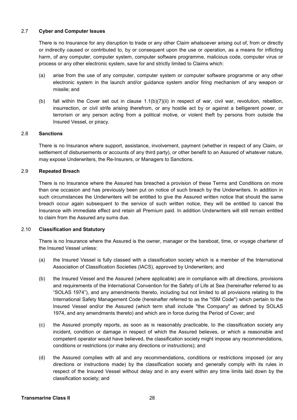#### 2.7 **Cyber and Computer Issues**

 There is no Insurance for any disruption to trade or any other Claim whatsoever arising out of, from or directly or indirectly caused or contributed to, by or consequent upon the use or operation, as a means for inflicting harm, of any computer, computer system, computer software programme, malicious code, computer virus or process or any other electronic system, save for and strictly limited to Claims which:

- (a) arise from the use of any computer, computer system or computer software programme or any other electronic system in the launch and/or guidance system and/or firing mechanism of any weapon or missile; and
- (b) fall within the Cover set out in clause 1.1(b)(7)(ii) in respect of war, civil war, revolution, rebellion, insurrection, or civil strife arising therefrom, or any hostile act by or against a belligerent power, or terrorism or any person acting from a political motive, or violent theft by persons from outside the Insured Vessel, or piracy.

#### 2.8 **Sanctions**

 There is no Insurance where support, assistance, involvement, payment (whether in respect of any Claim, or settlement of disbursements or accounts of any third party), or other benefit to an Assured of whatever nature, may expose Underwriters, the Re-Insurers, or Managers to Sanctions.

#### 2.9 **Repeated Breach**

 There is no Insurance where the Assured has breached a provision of these Terms and Conditions on more than one occasion and has previously been put on notice of such breach by the Underwriters. In addition in such circumstances the Underwriters will be entitled to give the Assured written notice that should the same breach occur again subsequent to the service of such written notice, they will be entitled to cancel the Insurance with immediate effect and retain all Premium paid. In addition Underwriters will still remain entitled to claim from the Assured any sums due.

#### 2.10 **Classification and Statutory**

 There is no Insurance where the Assured is the owner, manager or the bareboat, time, or voyage charterer of the Insured Vessel unless:

- (a) the Insured Vessel is fully classed with a classification society which is a member of the International Association of Classification Societies (IACS), approved by Underwriters; and
- (b) the Insured Vessel and the Assured (where applicable) are in compliance with all directions, provisions and requirements of the International Convention for the Safety of Life at Sea (hereinafter referred to as "SOLAS 1974"), and any amendments thereto, including but not limited to all provisions relating to the International Safety Management Code (hereinafter referred to as the "ISM Code") which pertain to the Insured Vessel and/or the Assured (which term shall include "the Company" as defined by SOLAS 1974, and any amendments thereto) and which are in force during the Period of Cover; and
- (c) the Assured promptly reports, as soon as is reasonably practicable, to the classification society any incident, condition or damage in respect of which the Assured believes, or which a reasonable and competent operator would have believed, the classification society might impose any recommendations, conditions or restrictions (or make any directions or instructions); and
- (d) the Assured complies with all and any recommendations, conditions or restrictions imposed (or any directions or instructions made) by the classification society and generally comply with its rules in respect of the Insured Vessel without delay and in any event within any time limits laid down by the classification society; and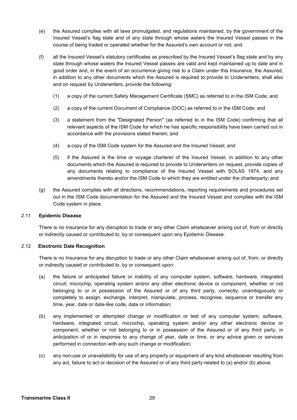- (e) the Assured complies with all laws promulgated, and regulations maintained, by the government of the Insured Vessel's flag state and of any state through whose waters the Insured Vessel passes in the course of being traded or operated whether for the Assured's own account or not; and
- (f) all the Insured Vessel's statutory certificates as prescribed by the Insured Vessel's flag state and by any state through whose waters the Insured Vessel passes are valid and kept maintained up to date and in good order and, in the event of an occurrence giving rise to a Claim under this Insurance, the Assured, in addition to any other documents which the Assured is required to provide to Underwriters, shall also and on request by Underwriters, provide the following:
	- (1) a copy of the current Safety Management Certificate (SMC) as referred to in the ISM Code; and
	- (2) a copy of the current Document of Compliance (DOC) as referred to in the ISM Code; and
	- (3) a statement from the "Designated Person" (as referred to in the ISM Code) confirming that all relevant aspects of the ISM Code for which he has specific responsibility have been carried out in accordance with the provisions stated therein; and
	- (4) a copy of the ISM Code system for the Assured and the Insured Vessel; and
	- (5) if the Assured is the time or voyage charterer of the Insured Vessel, in addition to any other documents which the Assured is required to provide to Underwriters on request, provide copies of any documents relating to compliance of the Insured Vessel with SOLAS 1974, and any amendments thereto and/or the ISM Code to which they are entitled under the charterparty; and
- (g) the Assured complies with all directions, recommendations, reporting requirements and procedures set out in the ISM Code documentation for the Assured and the Insured Vessel and complies with the ISM Code system in place.

#### 2.11 **Epidemic Disease**

 There is no Insurance for any disruption to trade or any other Claim whatsoever arising out of, from or directly or indirectly caused or contributed to, by or consequent upon any Epidemic Disease.

#### 2.12 **Electronic Date Recognition**

There is no Insurance for any disruption to trade or any other Claim whatsoever arising out of, from, or directly or indirectly caused or contributed to, by or consequent upon:

- (a) the failure or anticipated failure or inability of any computer system, software, hardware, integrated circuit, microchip, operating system and/or any other electronic device or component, whether or not belonging to or in possession of the Assured or of any third party, correctly, unambiguously or completely to assign, exchange, interpret, manipulate, process, recognise, sequence or transfer any time, year, date or date-like code, data or information;
- (b) any implemented or attempted change or modification or test of any computer system, software, hardware, integrated circuit, microchip, operating system and/or any other electronic device or component, whether or not belonging to or in possession of the Assured or of any third party, in anticipation of or in response to any change of year, date or time, or any advice given or services performed in connection with any such change or modification;
- (c) any non-use or unavailability for use of any property or equipment of any kind whatsoever resulting from any act, failure to act or decision of the Assured or of any third party related to (a) and/or (b) above.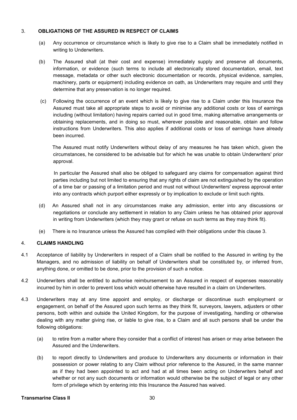#### 3. **OBLIGATIONS OF THE ASSURED IN RESPECT OF CLAIMS**

- (a) Any occurrence or circumstance which is likely to give rise to a Claim shall be immediately notified in writing to Underwriters.
- (b) The Assured shall (at their cost and expense) immediately supply and preserve all documents, information, or evidence (such terms to include all electronically stored documentation, email, text message, metadata or other such electronic documentation or records, physical evidence, samples, machinery, parts or equipment) including evidence on oath, as Underwriters may require and until they determine that any preservation is no longer required.
- (c) Following the occurrence of an event which is likely to give rise to a Claim under this Insurance the Assured must take all appropriate steps to avoid or minimise any additional costs or loss of earnings including (without limitation) having repairs carried out in good time, making alternative arrangements or obtaining replacements, and in doing so must, wherever possible and reasonable, obtain and follow instructions from Underwriters. This also applies if additional costs or loss of earnings have already been incurred.

The Assured must notify Underwriters without delay of any measures he has taken which, given the circumstances, he considered to be advisable but for which he was unable to obtain Underwriters' prior approval.

 In particular the Assured shall also be obliged to safeguard any claims for compensation against third parties including but not limited to ensuring that any rights of claim are not extinguished by the operation of a time bar or passing of a limitation period and must not without Underwriters' express approval enter into any contracts which purport either expressly or by implication to exclude or limit such rights.

- (d) An Assured shall not in any circumstances make any admission, enter into any discussions or negotiations or conclude any settlement in relation to any Claim unless he has obtained prior approval in writing from Underwriters (which they may grant or refuse on such terms as they may think fit).
- (e) There is no Insurance unless the Assured has complied with their obligations under this clause 3.

# 4. **CLAIMS HANDLING**

- 4.1 Acceptance of liability by Underwriters in respect of a Claim shall be notified to the Assured in writing by the Managers, and no admission of liability on behalf of Underwriters shall be constituted by, or inferred from, anything done, or omitted to be done, prior to the provision of such a notice.
- 4.2 Underwriters shall be entitled to authorise reimbursement to an Assured in respect of expenses reasonably incurred by him in order to prevent loss which would otherwise have resulted in a claim on Underwriters.
- 4.3 Underwriters may at any time appoint and employ, or discharge or discontinue such employment or engagement, on behalf of the Assured upon such terms as they think fit, surveyors, lawyers, adjusters or other persons, both within and outside the United Kingdom, for the purpose of investigating, handling or otherwise dealing with any matter giving rise, or liable to give rise, to a Claim and all such persons shall be under the following obligations:
	- (a) to retire from a matter where they consider that a conflict of interest has arisen or may arise between the Assured and the Underwriters.
	- (b) to report directly to Underwriters and produce to Underwriters any documents or information in their possession or power relating to any Claim without prior reference to the Assured, in the same manner as if they had been appointed to act and had at all times been acting on Underwriters behalf and whether or not any such documents or information would otherwise be the subject of legal or any other form of privilege which by entering into this Insurance the Assured has waived.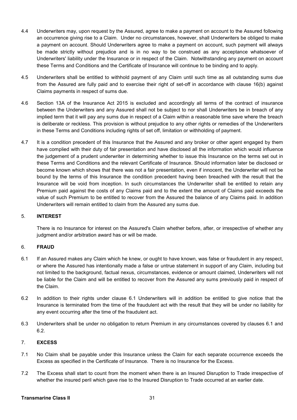- 4.4 Underwriters may, upon request by the Assured, agree to make a payment on account to the Assured following an occurrence giving rise to a Claim. Under no circumstances, however, shall Underwriters be obliged to make a payment on account. Should Underwriters agree to make a payment on account, such payment will always be made strictly without prejudice and is in no way to be construed as any acceptance whatsoever of Underwriters' liability under the Insurance or in respect of the Claim. Notwithstanding any payment on account these Terms and Conditions and the Certificate of Insurance will continue to be binding and to apply.
- 4.5 Underwriters shall be entitled to withhold payment of any Claim until such time as all outstanding sums due from the Assured are fully paid and to exercise their right of set-off in accordance with clause 16(b) against Claims payments in respect of sums due.
- 4.6 Section 13A of the Insurance Act 2015 is excluded and accordingly all terms of the contract of insurance between the Underwriters and any Assured shall not be subject to nor shall Underwriters be in breach of any implied term that it will pay any sums due in respect of a Claim within a reasonable time save where the breach is deliberate or reckless. This provision is without prejudice to any other rights or remedies of the Underwriters in these Terms and Conditions including rights of set off, limitation or withholding of payment.
- 4.7 It is a condition precedent of this Insurance that the Assured and any broker or other agent engaged by them have complied with their duty of fair presentation and have disclosed all the information which would influence the judgement of a prudent underwriter in determining whether to issue this Insurance on the terms set out in these Terms and Conditions and the relevant Certificate of Insurance. Should information later be disclosed or become known which shows that there was not a fair presentation, even if innocent, the Underwriter will not be bound by the terms of this Insurance the condition precedent having been breached with the result that the Insurance will be void from inception. In such circumstances the Underwriter shall be entitled to retain any Premium paid against the costs of any Claims paid and to the extent the amount of Claims paid exceeds the value of such Premium to be entitled to recover from the Assured the balance of any Claims paid. In addition Underwriters will remain entitled to claim from the Assured any sums due.

# 5. **INTEREST**

There is no Insurance for interest on the Assured's Claim whether before, after, or irrespective of whether any judgment and/or arbitration award has or will be made.

#### 6. **FRAUD**

- 6.1 If an Assured makes any Claim which he knew, or ought to have known, was false or fraudulent in any respect, or where the Assured has intentionally made a false or untrue statement in support of any Claim, including but not limited to the background, factual nexus, circumstances, evidence or amount claimed, Underwriters will not be liable for the Claim and will be entitled to recover from the Assured any sums previously paid in respect of the Claim.
- 6.2 In addition to their rights under clause 6.1 Underwriters will in addition be entitled to give notice that the Insurance is terminated from the time of the fraudulent act with the result that they will be under no liability for any event occurring after the time of the fraudulent act.
- 6.3 Underwriters shall be under no obligation to return Premium in any circumstances covered by clauses 6.1 and 6.2.

# 7. **EXCESS**

- 7.1 No Claim shall be payable under this Insurance unless the Claim for each separate occurrence exceeds the Excess as specified in the Certificate of Insurance. There is no Insurance for the Excess.
- 7.2 The Excess shall start to count from the moment when there is an Insured Disruption to Trade irrespective of whether the insured peril which gave rise to the Insured Disruption to Trade occurred at an earlier date.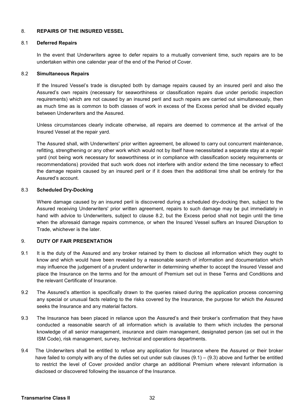#### 8. **REPAIRS OF THE INSURED VESSEL**

#### 8.1 **Deferred Repairs**

In the event that Underwriters agree to defer repairs to a mutually convenient time, such repairs are to be undertaken within one calendar year of the end of the Period of Cover.

#### 8.2 **Simultaneous Repairs**

If the Insured Vessel's trade is disrupted both by damage repairs caused by an insured peril and also the Assured's own repairs (necessary for seaworthiness or classification repairs due under periodic inspection requirements) which are not caused by an insured peril and such repairs are carried out simultaneously, then as much time as is common to both classes of work in excess of the Excess period shall be divided equally between Underwriters and the Assured.

Unless circumstances clearly indicate otherwise, all repairs are deemed to commence at the arrival of the Insured Vessel at the repair yard.

The Assured shall, with Underwriters' prior written agreement, be allowed to carry out concurrent maintenance, refitting, strengthening or any other work which would not by itself have necessitated a separate stay at a repair yard (not being work necessary for seaworthiness or in compliance with classification society requirements or recommendations) provided that such work does not interfere with and/or extend the time necessary to effect the damage repairs caused by an insured peril or if it does then the additional time shall be entirely for the Assured's account.

## 8.3 **Scheduled Dry-Docking**

Where damage caused by an insured peril is discovered during a scheduled dry-docking then, subject to the Assured receiving Underwriters' prior written agreement, repairs to such damage may be put immediately in hand with advice to Underwriters, subject to clause 8.2, but the Excess period shall not begin until the time when the aforesaid damage repairs commence, or when the Insured Vessel suffers an Insured Disruption to Trade, whichever is the later.

#### 9. **DUTY OF FAIR PRESENTATION**

- 9.1 It is the duty of the Assured and any broker retained by them to disclose all information which they ought to know and which would have been revealed by a reasonable search of information and documentation which may influence the judgement of a prudent underwriter in determining whether to accept the Insured Vessel and place the Insurance on the terms and for the amount of Premium set out in these Terms and Conditions and the relevant Certificate of Insurance.
- 9.2 The Assured's attention is specifically drawn to the queries raised during the application process concerning any special or unusual facts relating to the risks covered by the Insurance, the purpose for which the Assured seeks the Insurance and any material factors.
- 9.3 The Insurance has been placed in reliance upon the Assured's and their broker's confirmation that they have conducted a reasonable search of all information which is available to them which includes the personal knowledge of all senior management, insurance and claim management, designated person (as set out in the ISM Code), risk management, survey, technical and operations departments.
- 9.4 The Underwriters shall be entitled to refuse any application for Insurance where the Assured or their broker have failed to comply with any of the duties set out under sub clauses  $(9.1) - (9.3)$  above and further be entitled to restrict the level of Cover provided and/or charge an additional Premium where relevant information is disclosed or discovered following the issuance of the Insurance.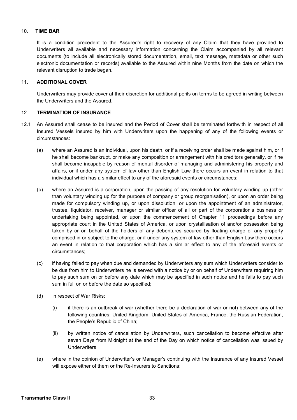#### 10. **TIME BAR**

It is a condition precedent to the Assured's right to recovery of any Claim that they have provided to Underwriters all available and necessary information concerning the Claim accompanied by all relevant documents (to include all electronically stored documentation, email, text message, metadata or other such electronic documentation or records) available to the Assured within nine Months from the date on which the relevant disruption to trade began.

#### 11. **ADDITIONAL COVER**

Underwriters may provide cover at their discretion for additional perils on terms to be agreed in writing between the Underwriters and the Assured.

# 12. **TERMINATION OF INSURANCE**

- 12.1 An Assured shall cease to be insured and the Period of Cover shall be terminated forthwith in respect of all Insured Vessels insured by him with Underwriters upon the happening of any of the following events or circumstances:
	- (a) where an Assured is an individual, upon his death, or if a receiving order shall be made against him, or if he shall become bankrupt, or make any composition or arrangement with his creditors generally, or if he shall become incapable by reason of mental disorder of managing and administering his property and affairs, or if under any system of law other than English Law there occurs an event in relation to that individual which has a similar effect to any of the aforesaid events or circumstances;
	- (b) where an Assured is a corporation, upon the passing of any resolution for voluntary winding up (other than voluntary winding up for the purpose of company or group reorganisation), or upon an order being made for compulsory winding up, or upon dissolution, or upon the appointment of an administrator, trustee, liquidator, receiver, manager or similar officer of all or part of the corporation's business or undertaking being appointed, or upon the commencement of Chapter 11 proceedings before any appropriate court in the United States of America, or upon crystallisation of and/or possession being taken by or on behalf of the holders of any debentures secured by floating charge of any property comprised in or subject to the charge, or if under any system of law other than English Law there occurs an event in relation to that corporation which has a similar effect to any of the aforesaid events or circumstances;
	- (c) if having failed to pay when due and demanded by Underwriters any sum which Underwriters consider to be due from him to Underwriters he is served with a notice by or on behalf of Underwriters requiring him to pay such sum on or before any date which may be specified in such notice and he fails to pay such sum in full on or before the date so specified;
	- (d) in respect of War Risks:
		- (i) if there is an outbreak of war (whether there be a declaration of war or not) between any of the following countries: United Kingdom, United States of America, France, the Russian Federation, the People's Republic of China;
		- (ii) by written notice of cancellation by Underwriters, such cancellation to become effective after seven Days from Midnight at the end of the Day on which notice of cancellation was issued by Underwriters;
	- (e) where in the opinion of Underwriter's or Manager's continuing with the Insurance of any Insured Vessel will expose either of them or the Re-Insurers to Sanctions;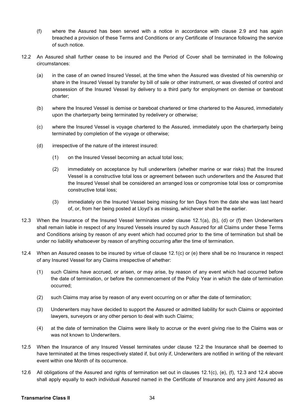- (f) where the Assured has been served with a notice in accordance with clause 2.9 and has again breached a provision of these Terms and Conditions or any Certificate of Insurance following the service of such notice.
- 12.2 An Assured shall further cease to be insured and the Period of Cover shall be terminated in the following circumstances:
	- (a) in the case of an owned Insured Vessel, at the time when the Assured was divested of his ownership or share in the Insured Vessel by transfer by bill of sale or other instrument, or was divested of control and possession of the Insured Vessel by delivery to a third party for employment on demise or bareboat charter;
	- (b) where the Insured Vessel is demise or bareboat chartered or time chartered to the Assured, immediately upon the charterparty being terminated by redelivery or otherwise;
	- (c) where the Insured Vessel is voyage chartered to the Assured, immediately upon the charterparty being terminated by completion of the voyage or otherwise;
	- (d) irrespective of the nature of the interest insured:
		- (1) on the Insured Vessel becoming an actual total loss;
		- (2) immediately on acceptance by hull underwriters (whether marine or war risks) that the Insured Vessel is a constructive total loss or agreement between such underwriters and the Assured that the Insured Vessel shall be considered an arranged loss or compromise total loss or compromise constructive total loss;
		- (3) immediately on the Insured Vessel being missing for ten Days from the date she was last heard of, or, from her being posted at Lloyd's as missing, whichever shall be the earlier.
- 12.3 When the Insurance of the Insured Vessel terminates under clause 12.1(a), (b), (d) or (f) then Underwriters shall remain liable in respect of any Insured Vessels insured by such Assured for all Claims under these Terms and Conditions arising by reason of any event which had occurred prior to the time of termination but shall be under no liability whatsoever by reason of anything occurring after the time of termination.
- 12.4 When an Assured ceases to be insured by virtue of clause 12.1(c) or (e) there shall be no Insurance in respect of any Insured Vessel for any Claims irrespective of whether:
	- (1) such Claims have accrued, or arisen, or may arise, by reason of any event which had occurred before the date of termination, or before the commencement of the Policy Year in which the date of termination occurred;
	- (2) such Claims may arise by reason of any event occurring on or after the date of termination;
	- (3) Underwriters may have decided to support the Assured or admitted liability for such Claims or appointed lawyers, surveyors or any other person to deal with such Claims;
	- (4) at the date of termination the Claims were likely to accrue or the event giving rise to the Claims was or was not known to Underwriters.
- 12.5 When the Insurance of any Insured Vessel terminates under clause 12.2 the Insurance shall be deemed to have terminated at the times respectively stated if, but only if, Underwriters are notified in writing of the relevant event within one Month of its occurrence.
- 12.6 All obligations of the Assured and rights of termination set out in clauses 12.1(c), (e), (f), 12.3 and 12.4 above shall apply equally to each individual Assured named in the Certificate of Insurance and any joint Assured as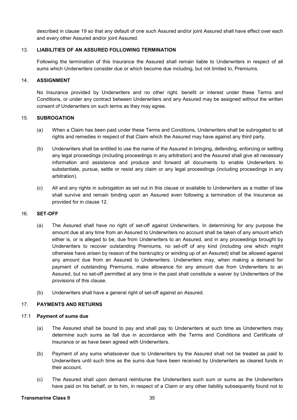described in clause 19 so that any default of one such Assured and/or joint Assured shall have effect over each and every other Assured and/or joint Assured.

#### 13. **LIABILITIES OF AN ASSURED FOLLOWING TERMINATION**

Following the termination of this Insurance the Assured shall remain liable to Underwriters in respect of all sums which Underwriters consider due or which become due including, but not limited to, Premiums.

#### 14. **ASSIGNMENT**

No Insurance provided by Underwriters and no other right, benefit or interest under these Terms and Conditions, or under any contract between Underwriters and any Assured may be assigned without the written consent of Underwriters on such terms as they may agree.

#### 15. **SUBROGATION**

- (a) When a Claim has been paid under these Terms and Conditions, Underwriters shall be subrogated to all rights and remedies in respect of that Claim which the Assured may have against any third party.
- (b) Underwriters shall be entitled to use the name of the Assured in bringing, defending, enforcing or settling any legal proceedings (including proceedings in any arbitration) and the Assured shall give all necessary information and assistance and produce and forward all documents to enable Underwriters to substantiate, pursue, settle or resist any claim or any legal proceedings (including proceedings in any arbitration).
- (c) All and any rights in subrogation as set out in this clause or available to Underwriters as a matter of law shall survive and remain binding upon an Assured even following a termination of the Insurance as provided for in clause 12.

#### 16. **SET-OFF**

- (a) The Assured shall have no right of set-off against Underwriters. In determining for any purpose the amount due at any time from an Assured to Underwriters no account shall be taken of any amount which either is, or is alleged to be, due from Underwriters to an Assured, and in any proceedings brought by Underwriters to recover outstanding Premiums, no set-off of any kind (including one which might otherwise have arisen by reason of the bankruptcy or winding up of an Assured) shall be allowed against any amount due from an Assured to Underwriters. Underwriters may, when making a demand for payment of outstanding Premiums, make allowance for any amount due from Underwriters to an Assured, but no set-off permitted at any time in the past shall constitute a waiver by Underwriters of the provisions of this clause.
- (b) Underwriters shall have a general right of set-off against an Assured.

#### 17. **PAYMENTS AND RETURNS**

#### 17.1 **Payment of sums due**

- (a) The Assured shall be bound to pay and shall pay to Underwriters at such time as Underwriters may determine such sums as fall due in accordance with the Terms and Conditions and Certificate of Insurance or as have been agreed with Underwriters.
- (b) Payment of any sums whatsoever due to Underwriters by the Assured shall not be treated as paid to Underwriters until such time as the sums due have been received by Underwriters as cleared funds in their account.
- (c) The Assured shall upon demand reimburse the Underwriters such sum or sums as the Underwriters have paid on his behalf, or to him, in respect of a Claim or any other liability subsequently found not to

#### **Transmarine Class II** 35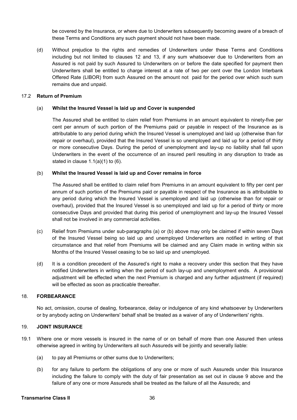be covered by the Insurance, or where due to Underwriters subsequently becoming aware of a breach of these Terms and Conditions any such payment should not have been made.

(d) Without prejudice to the rights and remedies of Underwriters under these Terms and Conditions including but not limited to clauses 12 and 13, if any sum whatsoever due to Underwriters from an Assured is not paid by such Assured to Underwriters on or before the date specified for payment then Underwriters shall be entitled to charge interest at a rate of two per cent over the London Interbank Offered Rate (LIBOR) from such Assured on the amount not paid for the period over which such sum remains due and unpaid.

#### 17.2 **Return of Premium**

#### (a) **Whilst the Insured Vessel is laid up and Cover is suspended**

The Assured shall be entitled to claim relief from Premiums in an amount equivalent to ninety-five per cent per annum of such portion of the Premiums paid or payable in respect of the Insurance as is attributable to any period during which the Insured Vessel is unemployed and laid up (otherwise than for repair or overhaul), provided that the Insured Vessel is so unemployed and laid up for a period of thirty or more consecutive Days. During the period of unemployment and lay-up no liability shall fall upon Underwriters in the event of the occurrence of an insured peril resulting in any disruption to trade as stated in clause  $1.1(a)(1)$  to  $(6)$ .

#### (b) **Whilst the Insured Vessel is laid up and Cover remains in force**

The Assured shall be entitled to claim relief from Premiums in an amount equivalent to fifty per cent per annum of such portion of the Premiums paid or payable in respect of the Insurance as is attributable to any period during which the Insured Vessel is unemployed and laid up (otherwise than for repair or overhaul), provided that the Insured Vessel is so unemployed and laid up for a period of thirty or more consecutive Days and provided that during this period of unemployment and lay-up the Insured Vessel shall not be involved in any commercial activities.

- (c) Relief from Premiums under sub-paragraphs (a) or (b) above may only be claimed if within seven Days of the Insured Vessel being so laid up and unemployed Underwriters are notified in writing of that circumstance and that relief from Premiums will be claimed and any Claim made in writing within six Months of the Insured Vessel ceasing to be so laid up and unemployed.
- (d) It is a condition precedent of the Assured's right to make a recovery under this section that they have notified Underwriters in writing when the period of such lay-up and unemployment ends. A provisional adjustment will be effected when the next Premium is charged and any further adjustment (if required) will be effected as soon as practicable thereafter.

#### 18. **FORBEARANCE**

 No act, omission, course of dealing, forbearance, delay or indulgence of any kind whatsoever by Underwriters or by anybody acting on Underwriters' behalf shall be treated as a waiver of any of Underwriters' rights.

#### 19. **JOINT INSURANCE**

- 19.1 Where one or more vessels is insured in the name of or on behalf of more than one Assured then unless otherwise agreed in writing by Underwriters all such Assureds will be jointly and severally liable:
	- (a) to pay all Premiums or other sums due to Underwriters;
	- (b) for any failure to perform the obligations of any one or more of such Assureds under this Insurance including the failure to comply with the duty of fair presentation as set out in clause 9 above and the failure of any one or more Assureds shall be treated as the failure of all the Assureds; and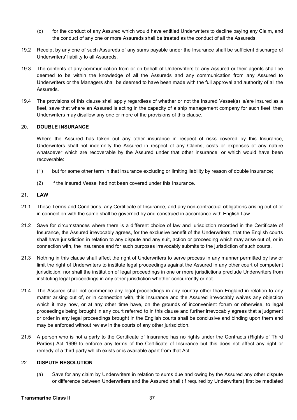- (c) for the conduct of any Assured which would have entitled Underwriters to decline paying any Claim, and the conduct of any one or more Assureds shall be treated as the conduct of all the Assureds.
- 19.2 Receipt by any one of such Assureds of any sums payable under the Insurance shall be sufficient discharge of Underwriters' liability to all Assureds.
- 19.3 The contents of any communication from or on behalf of Underwriters to any Assured or their agents shall be deemed to be within the knowledge of all the Assureds and any communication from any Assured to Underwriters or the Managers shall be deemed to have been made with the full approval and authority of all the Assureds.
- 19.4 The provisions of this clause shall apply regardless of whether or not the Insured Vessel(s) is/are insured as a fleet, save that where an Assured is acting in the capacity of a ship management company for such fleet, then Underwriters may disallow any one or more of the provisions of this clause.

#### 20. **DOUBLE INSURANCE**

Where the Assured has taken out any other insurance in respect of risks covered by this Insurance, Underwriters shall not indemnify the Assured in respect of any Claims, costs or expenses of any nature whatsoever which are recoverable by the Assured under that other insurance, or which would have been recoverable:

- (1) but for some other term in that insurance excluding or limiting liability by reason of double insurance;
- (2) if the Insured Vessel had not been covered under this Insurance.

#### 21. **LAW**

- 21.1 These Terms and Conditions, any Certificate of Insurance, and any non-contractual obligations arising out of or in connection with the same shall be governed by and construed in accordance with English Law.
- 21.2 Save for circumstances where there is a different choice of law and jurisdiction recorded in the Certificate of Insurance, the Assured irrevocably agrees, for the exclusive benefit of the Underwriters, that the English courts shall have jurisdiction in relation to any dispute and any suit, action or proceeding which may arise out of, or in connection with, the Insurance and for such purposes irrevocably submits to the jurisdiction of such courts.
- 21.3 Nothing in this clause shall affect the right of Underwriters to serve process in any manner permitted by law or limit the right of Underwriters to institute legal proceedings against the Assured in any other court of competent jurisdiction, nor shall the institution of legal proceedings in one or more jurisdictions preclude Underwriters from instituting legal proceedings in any other jurisdiction whether concurrently or not.
- 21.4 The Assured shall not commence any legal proceedings in any country other than England in relation to any matter arising out of, or in connection with, this Insurance and the Assured irrevocably waives any objection which it may now, or at any other time have, on the grounds of inconvenient forum or otherwise, to legal proceedings being brought in any court referred to in this clause and further irrevocably agrees that a judgment or order in any legal proceedings brought in the English courts shall be conclusive and binding upon them and may be enforced without review in the courts of any other jurisdiction.
- 21.5 A person who is not a party to the Certificate of Insurance has no rights under the Contracts (Rights of Third Parties) Act 1999 to enforce any terms of the Certificate of Insurance but this does not affect any right or remedy of a third party which exists or is available apart from that Act.

# 22. **DISPUTE RESOLUTION**

(a) Save for any claim by Underwriters in relation to sums due and owing by the Assured any other dispute or difference between Underwriters and the Assured shall (if required by Underwriters) first be mediated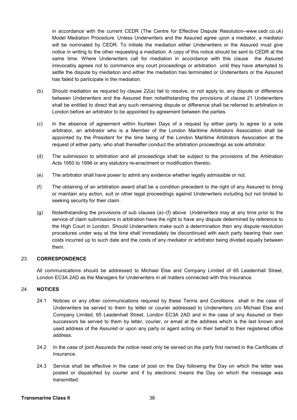in accordance with the current CEDR (The Centre for Effective Dispute Resolution–www.cedr.co.uk) Model Mediation Procedure. Unless Underwriters and the Assured agree upon a mediator, a mediator will be nominated by CEDR. To initiate the mediation either Underwriters or the Assured must give notice in writing to the other requesting a mediation. A copy of this notice should be sent to CEDR at the same time. Where Underwriters call for mediation in accordance with this clause the Assured irrevocably agrees not to commence any court proceedings or arbitration until they have attempted to settle the dispute by mediation and either the mediation has terminated or Underwriters or the Assured has failed to participate in the mediation.

- (b) Should mediation as required by clause 22(a) fail to resolve, or not apply to, any dispute or difference between Underwriters and the Assured then notwithstanding the provisions of clause 21 Underwriters shall be entitled to direct that any such remaining dispute or difference shall be referred to arbitration in London before an arbitrator to be appointed by agreement between the parties.
- (c) In the absence of agreement within fourteen Days of a request by either party to agree to a sole arbitrator, an arbitrator who is a Member of the London Maritime Arbitrators Association shall be appointed by the President for the time being of the London Maritime Arbitrators Association at the request of either party, who shall thereafter conduct the arbitration proceedings as sole arbitrator.
- (d) The submission to arbitration and all proceedings shall be subject to the provisions of the Arbitration Acts 1950 to 1996 or any statutory re-enactment or modification thereto.
- (e) The arbitrator shall have power to admit any evidence whether legally admissible or not.
- (f) The obtaining of an arbitration award shall be a condition precedent to the right of any Assured to bring or maintain any action, suit or other legal proceedings against Underwriters including but not limited to seeking security for their claim.
- (g) Notwithstanding the provisions of sub clauses (a)–(f) above Underwriters may at any time prior to the service of claim submissions in arbitration have the right to have any dispute determined by reference to the High Court in London. Should Underwriters make such a determination then any dispute resolution procedures under way at the time shall immediately be discontinued with each party bearing their own costs incurred up to such date and the costs of any mediator or arbitrator being divided equally between them.

#### 23. **CORRESPONDENCE**

All communications should be addressed to Michael Else and Company Limited of 65 Leadenhall Street, London EC3A 2AD as the Managers for Underwriters in all matters connected with this Insurance.

#### 24. **NOTICES**

- 24.1 Notices or any other communications required by these Terms and Conditions shall in the case of Underwriters be served to them by letter or courier addressed to Underwriters c/o Michael Else and Company Limited, 65 Leadenhall Street, London EC3A 2AD and in the case of any Assured or their successors be served to them by letter, courier, or email at the address which is the last known and used address of the Assured or upon any party or agent acting on their behalf to their registered office address.
- 24.2 In the case of joint Assureds the notice need only be served on the party first named in the Certificate of Insurance.
- 24.3 Service shall be effective in the case of post on the Day following the Day on which the letter was posted or dispatched by courier and if by electronic means the Day on which the message was transmitted.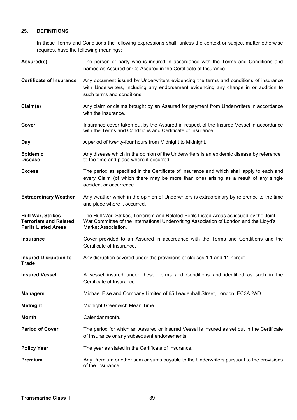# 25. **DEFINITIONS**

In these Terms and Conditions the following expressions shall, unless the context or subject matter otherwise requires, have the following meanings:

| Assured(s)                                                                             | The person or party who is insured in accordance with the Terms and Conditions and<br>named as Assured or Co-Assured in the Certificate of Insurance.                                                       |  |
|----------------------------------------------------------------------------------------|-------------------------------------------------------------------------------------------------------------------------------------------------------------------------------------------------------------|--|
| <b>Certificate of Insurance</b>                                                        | Any document issued by Underwriters evidencing the terms and conditions of insurance<br>with Underwriters, including any endorsement evidencing any change in or addition to<br>such terms and conditions.  |  |
| Claim(s)                                                                               | Any claim or claims brought by an Assured for payment from Underwriters in accordance<br>with the Insurance.                                                                                                |  |
| Cover                                                                                  | Insurance cover taken out by the Assured in respect of the Insured Vessel in accordance<br>with the Terms and Conditions and Certificate of Insurance.                                                      |  |
| Day                                                                                    | A period of twenty-four hours from Midnight to Midnight.                                                                                                                                                    |  |
| Epidemic<br><b>Disease</b>                                                             | Any disease which in the opinion of the Underwriters is an epidemic disease by reference<br>to the time and place where it occurred.                                                                        |  |
| <b>Excess</b>                                                                          | The period as specified in the Certificate of Insurance and which shall apply to each and<br>every Claim (of which there may be more than one) arising as a result of any single<br>accident or occurrence. |  |
| <b>Extraordinary Weather</b>                                                           | Any weather which in the opinion of Underwriters is extraordinary by reference to the time<br>and place where it occurred.                                                                                  |  |
| <b>Hull War, Strikes</b><br><b>Terrorism and Related</b><br><b>Perils Listed Areas</b> | The Hull War, Strikes, Terrorism and Related Perils Listed Areas as issued by the Joint<br>War Committee of the International Underwriting Association of London and the Lloyd's<br>Market Association.     |  |
| <b>Insurance</b>                                                                       | Cover provided to an Assured in accordance with the Terms and Conditions and the<br>Certificate of Insurance.                                                                                               |  |
| <b>Insured Disruption to</b><br><b>Trade</b>                                           | Any disruption covered under the provisions of clauses 1.1 and 11 hereof.                                                                                                                                   |  |
| <b>Insured Vessel</b>                                                                  | A vessel insured under these Terms and Conditions and identified as such in the<br>Certificate of Insurance.                                                                                                |  |
| <b>Managers</b>                                                                        | Michael Else and Company Limited of 65 Leadenhall Street, London, EC3A 2AD.                                                                                                                                 |  |
| <b>Midnight</b>                                                                        | Midnight Greenwich Mean Time.                                                                                                                                                                               |  |
| <b>Month</b>                                                                           | Calendar month.                                                                                                                                                                                             |  |
| <b>Period of Cover</b>                                                                 | The period for which an Assured or Insured Vessel is insured as set out in the Certificate<br>of Insurance or any subsequent endorsements.                                                                  |  |
| <b>Policy Year</b>                                                                     | The year as stated in the Certificate of Insurance.                                                                                                                                                         |  |
| Premium                                                                                | Any Premium or other sum or sums payable to the Underwriters pursuant to the provisions<br>of the Insurance.                                                                                                |  |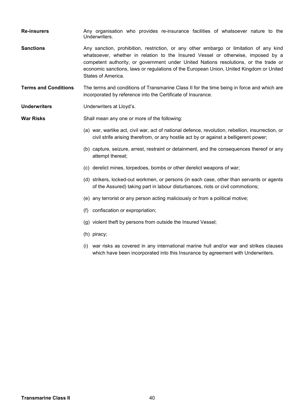- **Re-insurers Any organisation who provides re-insurance facilities of whatsoever nature to the** Underwriters.
- **Sanctions** Any sanction, prohibition, restriction, or any other embargo or limitation of any kind whatsoever, whether in relation to the Insured Vessel or otherwise, imposed by a competent authority, or government under United Nations resolutions, or the trade or economic sanctions, laws or regulations of the European Union, United Kingdom or United States of America.
- **Terms and Conditions** The terms and conditions of Transmarine Class II for the time being in force and which are incorporated by reference into the Certificate of Insurance.
- **Underwriters** Underwriters at Lloyd's.

**War Risks** Shall mean any one or more of the following:

- (a) war, warlike act, civil war, act of national defence, revolution, rebellion, insurrection, or civil strife arising therefrom, or any hostile act by or against a belligerent power;
- (b) capture, seizure, arrest, restraint or detainment, and the consequences thereof or any attempt thereat;
- (c) derelict mines, torpedoes, bombs or other derelict weapons of war;
- (d) strikers, locked-out workmen, or persons (in each case, other than servants or agents of the Assured) taking part in labour disturbances, riots or civil commotions;
- (e) any terrorist or any person acting maliciously or from a political motive;
- (f) confiscation or expropriation;
- (g) violent theft by persons from outside the Insured Vessel;
- (h) piracy;
- (i) war risks as covered in any international marine hull and/or war and strikes clauses which have been incorporated into this Insurance by agreement with Underwriters.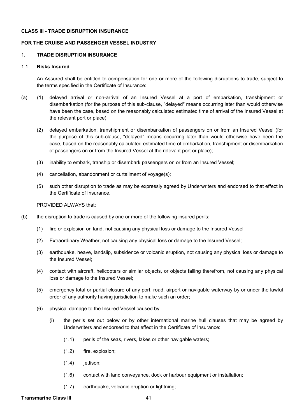#### **CLASS III - TRADE DISRUPTION INSURANCE**

#### **FOR THE CRUISE AND PASSENGER VESSEL INDUSTRY**

#### 1. **TRADE DISRUPTION INSURANCE**

#### 1.1 **Risks Insured**

An Assured shall be entitled to compensation for one or more of the following disruptions to trade, subject to the terms specified in the Certificate of Insurance:

- (a) (1) delayed arrival or non-arrival of an Insured Vessel at a port of embarkation, transhipment or disembarkation (for the purpose of this sub-clause, "delayed" means occurring later than would otherwise have been the case, based on the reasonably calculated estimated time of arrival of the Insured Vessel at the relevant port or place);
	- (2) delayed embarkation, transhipment or disembarkation of passengers on or from an Insured Vessel (for the purpose of this sub-clause, "delayed" means occurring later than would otherwise have been the case, based on the reasonably calculated estimated time of embarkation, transhipment or disembarkation of passengers on or from the Insured Vessel at the relevant port or place);
	- (3) inability to embark, tranship or disembark passengers on or from an Insured Vessel;
	- (4) cancellation, abandonment or curtailment of voyage(s);
	- (5) such other disruption to trade as may be expressly agreed by Underwriters and endorsed to that effect in the Certificate of Insurance.

#### PROVIDED ALWAYS that:

- (b) the disruption to trade is caused by one or more of the following insured perils:
	- (1) fire or explosion on land, not causing any physical loss or damage to the Insured Vessel;
	- (2) Extraordinary Weather, not causing any physical loss or damage to the Insured Vessel;
	- (3) earthquake, heave, landslip, subsidence or volcanic eruption, not causing any physical loss or damage to the Insured Vessel;
	- (4) contact with aircraft, helicopters or similar objects, or objects falling therefrom, not causing any physical loss or damage to the Insured Vessel;
	- (5) emergency total or partial closure of any port, road, airport or navigable waterway by or under the lawful order of any authority having jurisdiction to make such an order;
	- (6) physical damage to the Insured Vessel caused by:
		- (i) the perils set out below or by other international marine hull clauses that may be agreed by Underwriters and endorsed to that effect in the Certificate of Insurance:
			- (1.1) perils of the seas, rivers, lakes or other navigable waters;
			- (1.2) fire, explosion;
			- (1.4) jettison;
			- (1.6) contact with land conveyance, dock or harbour equipment or installation;
			- (1.7) earthquake, volcanic eruption or lightning;

#### **Transmarine Class III** 41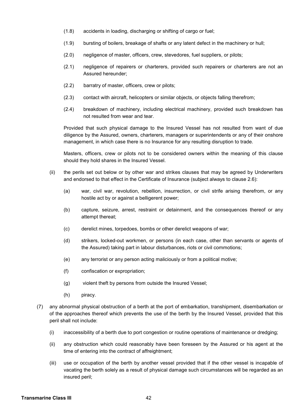- (1.8) accidents in loading, discharging or shifting of cargo or fuel;
- (1.9) bursting of boilers, breakage of shafts or any latent defect in the machinery or hull;
- (2.0) negligence of master, officers, crew, stevedores, fuel suppliers, or pilots;
- (2.1) negligence of repairers or charterers, provided such repairers or charterers are not an Assured hereunder;
- (2.2) barratry of master, officers, crew or pilots;
- (2.3) contact with aircraft, helicopters or similar objects, or objects falling therefrom;
- (2.4) breakdown of machinery, including electrical machinery, provided such breakdown has not resulted from wear and tear.

Provided that such physical damage to the Insured Vessel has not resulted from want of due diligence by the Assured, owners, charterers, managers or superintendents or any of their onshore management, in which case there is no Insurance for any resulting disruption to trade.

Masters, officers, crew or pilots not to be considered owners within the meaning of this clause should they hold shares in the Insured Vessel.

- (ii) the perils set out below or by other war and strikes clauses that may be agreed by Underwriters and endorsed to that effect in the Certificate of Insurance (subject always to clause 2.6):
	- (a) war, civil war, revolution, rebellion, insurrection, or civil strife arising therefrom, or any hostile act by or against a belligerent power;
	- (b) capture, seizure, arrest, restraint or detainment, and the consequences thereof or any attempt thereat;
	- (c) derelict mines, torpedoes, bombs or other derelict weapons of war;
	- (d) strikers, locked-out workmen, or persons (in each case, other than servants or agents of the Assured) taking part in labour disturbances, riots or civil commotions;
	- (e) any terrorist or any person acting maliciously or from a political motive;
	- (f) confiscation or expropriation;
	- (g) violent theft by persons from outside the Insured Vessel;
	- (h) piracy.
- (7) any abnormal physical obstruction of a berth at the port of embarkation, transhipment, disembarkation or of the approaches thereof which prevents the use of the berth by the Insured Vessel, provided that this peril shall not include:
	- (i) inaccessibility of a berth due to port congestion or routine operations of maintenance or dredging;
	- (ii) any obstruction which could reasonably have been foreseen by the Assured or his agent at the time of entering into the contract of affreightment;
	- (iii) use or occupation of the berth by another vessel provided that if the other vessel is incapable of vacating the berth solely as a result of physical damage such circumstances will be regarded as an insured peril;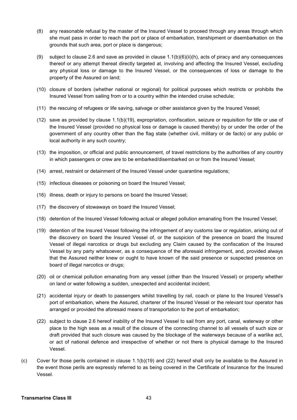- (8) any reasonable refusal by the master of the Insured Vessel to proceed through any areas through which she must pass in order to reach the port or place of embarkation, transhipment or disembarkation on the grounds that such area, port or place is dangerous;
- (9) subject to clause 2.6 and save as provided in clause  $1.1(b)(6)(ii)(h)$ , acts of piracy and any consequences thereof or any attempt thereat directly targeted at, involving and affecting the Insured Vessel, excluding any physical loss or damage to the Insured Vessel, or the consequences of loss or damage to the property of the Assured on land;
- (10) closure of borders (whether national or regional) for political purposes which restricts or prohibits the Insured Vessel from sailing from or to a country within the intended cruise schedule;
- (11) the rescuing of refugees or life saving, salvage or other assistance given by the Insured Vessel;
- (12) save as provided by clause 1.1(b)(19), expropriation, confiscation, seizure or requisition for title or use of the Insured Vessel (provided no physical loss or damage is caused thereby) by or under the order of the government of any country other than the flag state (whether civil, military or de facto) or any public or local authority in any such country;
- (13) the imposition, or official and public announcement, of travel restrictions by the authorities of any country in which passengers or crew are to be embarked/disembarked on or from the Insured Vessel;
- (14) arrest, restraint or detainment of the Insured Vessel under quarantine regulations;
- (15) infectious diseases or poisoning on board the Insured Vessel;
- (16) illness, death or injury to persons on board the Insured Vessel;
- (17) the discovery of stowaways on board the Insured Vessel;
- (18) detention of the Insured Vessel following actual or alleged pollution emanating from the Insured Vessel;
- (19) detention of the Insured Vessel following the infringement of any customs law or regulation, arising out of the discovery on board the Insured Vessel of, or the suspicion of the presence on board the Insured Vessel of illegal narcotics or drugs but excluding any Claim caused by the confiscation of the Insured Vessel by any party whatsoever, as a consequence of the aforesaid infringement, and, provided always that the Assured neither knew or ought to have known of the said presence or suspected presence on board of illegal narcotics or drugs:
- (20) oil or chemical pollution emanating from any vessel (other than the Insured Vessel) or property whether on land or water following a sudden, unexpected and accidental incident;
- (21) accidental injury or death to passengers whilst travelling by rail, coach or plane to the Insured Vessel's port of embarkation, where the Assured, charterer of the Insured Vessel or the relevant tour operator has arranged or provided the aforesaid means of transportation to the port of embarkation;
- (22) subject to clause 2.6 hereof inability of the Insured Vessel to sail from any port, canal, waterway or other place to the high seas as a result of the closure of the connecting channel to all vessels of such size or draft provided that such closure was caused by the blockage of the waterways because of a warlike act, or act of national defence and irrespective of whether or not there is physical damage to the Insured Vessel.
- (c) Cover for those perils contained in clause 1.1(b)(19) and (22) hereof shall only be available to the Assured in the event those perils are expressly referred to as being covered in the Certificate of Insurance for the Insured Vessel.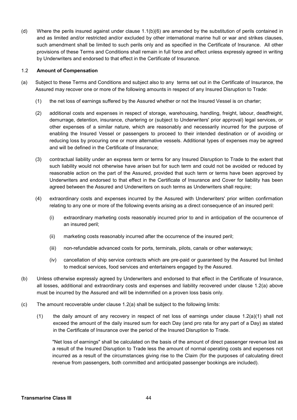(d) Where the perils insured against under clause 1.1(b)(6) are amended by the substitution of perils contained in and as limited and/or restricted and/or excluded by other international marine hull or war and strikes clauses, such amendment shall be limited to such perils only and as specified in the Certificate of Insurance. All other provisions of these Terms and Conditions shall remain in full force and effect unless expressly agreed in writing by Underwriters and endorsed to that effect in the Certificate of Insurance.

#### 1.2 **Amount of Compensation**

- (a) Subject to these Terms and Conditions and subject also to any terms set out in the Certificate of Insurance, the Assured may recover one or more of the following amounts in respect of any Insured Disruption to Trade:
	- (1) the net loss of earnings suffered by the Assured whether or not the Insured Vessel is on charter;
	- (2) additional costs and expenses in respect of storage, warehousing, handling, freight, labour, deadfreight, demurrage, detention, insurance, chartering or (subject to Underwriters' prior approval) legal services, or other expenses of a similar nature, which are reasonably and necessarily incurred for the purpose of enabling the Insured Vessel or passengers to proceed to their intended destination or of avoiding or reducing loss by procuring one or more alternative vessels. Additional types of expenses may be agreed and will be defined in the Certificate of Insurance;
	- (3) contractual liability under an express term or terms for any Insured Disruption to Trade to the extent that such liability would not otherwise have arisen but for such term and could not be avoided or reduced by reasonable action on the part of the Assured, provided that such term or terms have been approved by Underwriters and endorsed to that effect in the Certificate of Insurance and Cover for liability has been agreed between the Assured and Underwriters on such terms as Underwriters shall require;
	- (4) extraordinary costs and expenses incurred by the Assured with Underwriters' prior written confirmation relating to any one or more of the following events arising as a direct consequence of an insured peril:
		- (i) extraordinary marketing costs reasonably incurred prior to and in anticipation of the occurrence of an insured peril;
		- (ii) marketing costs reasonably incurred after the occurrence of the insured peril;
		- (iii) non-refundable advanced costs for ports, terminals, pilots, canals or other waterways;
		- (iv) cancellation of ship service contracts which are pre-paid or guaranteed by the Assured but limited to medical services, food services and entertainers engaged by the Assured.
- (b) Unless otherwise expressly agreed by Underwriters and endorsed to that effect in the Certificate of Insurance, all losses, additional and extraordinary costs and expenses and liability recovered under clause 1.2(a) above must be incurred by the Assured and will be indemnified on a proven loss basis only.
- (c) The amount recoverable under clause 1.2(a) shall be subject to the following limits:
	- (1) the daily amount of any recovery in respect of net loss of earnings under clause 1.2(a)(1) shall not exceed the amount of the daily insured sum for each Day (and pro rata for any part of a Day) as stated in the Certificate of Insurance over the period of the Insured Disruption to Trade.

"Net loss of earnings" shall be calculated on the basis of the amount of direct passenger revenue lost as a result of the Insured Disruption to Trade less the amount of normal operating costs and expenses not incurred as a result of the circumstances giving rise to the Claim (for the purposes of calculating direct revenue from passengers, both committed and anticipated passenger bookings are included).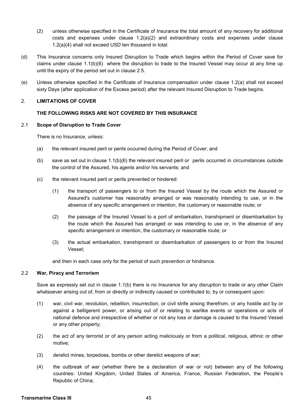- (2) unless otherwise specified in the Certificate of Insurance the total amount of any recovery for additional costs and expenses under clause 1.2(a)(2) and extraordinary costs and expenses under clause 1.2(a)(4) shall not exceed USD ten thousand in total.
- (d) This Insurance concerns only Insured Disruption to Trade which begins within the Period of Cover save for claims under clause 1.1(b)(6) where the disruption to trade to the Insured Vessel may occur at any time up until the expiry of the period set out in clause 2.5.
- (e) Unless otherwise specified in the Certificate of Insurance compensation under clause 1.2(a) shall not exceed sixty Days (after application of the Excess period) after the relevant Insured Disruption to Trade begins.

# 2. **LIMITATIONS OF COVER**

# **THE FOLLOWING RISKS ARE NOT COVERED BY THIS INSURANCE**

# 2.1 **Scope of Disruption to Trade Cover**

There is no Insurance, unless:

- (a) the relevant insured peril or perils occurred during the Period of Cover; and
- (b) save as set out in clause 1.1(b)(6) the relevant insured peril or perils occurred in circumstances outside the control of the Assured, his agents and/or his servants; and
- (c) the relevant insured peril or perils prevented or hindered:
	- (1) the transport of passengers to or from the Insured Vessel by the route which the Assured or Assured's customer has reasonably arranged or was reasonably intending to use, or in the absence of any specific arrangement or intention, the customary or reasonable route; or
	- (2) the passage of the Insured Vessel to a port of embarkation, transhipment or disembarkation by the route which the Assured has arranged or was intending to use or, in the absence of any specific arrangement or intention, the customary or reasonable route; or
	- (3) the actual embarkation, transhipment or disembarkation of passengers to or from the Insured Vessel;

and then in each case only for the period of such prevention or hindrance.

#### 2.2 **War, Piracy and Terrorism**

Save as expressly set out in clause 1.1(b) there is no Insurance for any disruption to trade or any other Claim whatsoever arising out of, from or directly or indirectly caused or contributed to, by or consequent upon:

- (1) war, civil war, revolution, rebellion, insurrection, or civil strife arising therefrom, or any hostile act by or against a belligerent power, or arising out of or relating to warlike events or operations or acts of national defence and irrespective of whether or not any loss or damage is caused to the Insured Vessel or any other property;
- (2) the act of any terrorist or of any person acting maliciously or from a political, religious, ethnic or other motive;
- (3) derelict mines, torpedoes, bombs or other derelict weapons of war;
- (4) the outbreak of war (whether there be a declaration of war or not) between any of the following countries: United Kingdom, United States of America, France, Russian Federation, the People's Republic of China;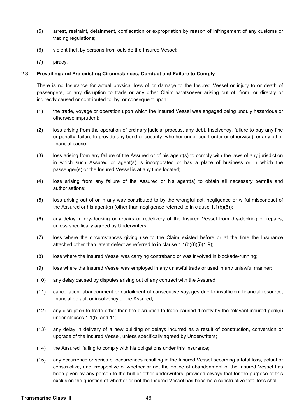- (5) arrest, restraint, detainment, confiscation or expropriation by reason of infringement of any customs or trading regulations;
- (6) violent theft by persons from outside the Insured Vessel;
- (7) piracy.

#### 2.3 **Prevailing and Pre-existing Circumstances, Conduct and Failure to Comply**

There is no Insurance for actual physical loss of or damage to the Insured Vessel or injury to or death of passengers, or any disruption to trade or any other Claim whatsoever arising out of, from, or directly or indirectly caused or contributed to, by, or consequent upon:

- (1) the trade, voyage or operation upon which the Insured Vessel was engaged being unduly hazardous or otherwise imprudent;
- (2) loss arising from the operation of ordinary judicial process, any debt, insolvency, failure to pay any fine or penalty, failure to provide any bond or security (whether under court order or otherwise), or any other financial cause;
- (3) loss arising from any failure of the Assured or of his agent(s) to comply with the laws of any jurisdiction in which such Assured or agent(s) is incorporated or has a place of business or in which the passenger(s) or the Insured Vessel is at any time located;
- (4) loss arising from any failure of the Assured or his agent(s) to obtain all necessary permits and authorisations;
- (5) loss arising out of or in any way contributed to by the wrongful act, negligence or wilful misconduct of the Assured or his agent(s) (other than negligence referred to in clause  $1.1(b)(6)$ );
- (6) any delay in dry-docking or repairs or redelivery of the Insured Vessel from dry-docking or repairs, unless specifically agreed by Underwriters;
- (7) loss where the circumstances giving rise to the Claim existed before or at the time the Insurance attached other than latent defect as referred to in clause 1.1(b)(6)(i)(1.9);
- (8) loss where the Insured Vessel was carrying contraband or was involved in blockade-running;
- (9) loss where the Insured Vessel was employed in any unlawful trade or used in any unlawful manner;
- (10) any delay caused by disputes arising out of any contract with the Assured;
- (11) cancellation, abandonment or curtailment of consecutive voyages due to insufficient financial resource, financial default or insolvency of the Assured;
- (12) any disruption to trade other than the disruption to trade caused directly by the relevant insured peril(s) under clauses 1.1(b) and 11;
- (13) any delay in delivery of a new building or delays incurred as a result of construction, conversion or upgrade of the Insured Vessel, unless specifically agreed by Underwriters;
- (14) the Assured failing to comply with his obligations under this Insurance;
- (15) any occurrence or series of occurrences resulting in the Insured Vessel becoming a total loss, actual or constructive, and irrespective of whether or not the notice of abandonment of the Insured Vessel has been given by any person to the hull or other underwriters; provided always that for the purpose of this exclusion the question of whether or not the Insured Vessel has become a constructive total loss shall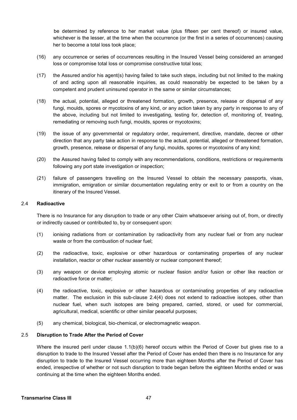be determined by reference to her market value (plus fifteen per cent thereof) or insured value, whichever is the lesser, at the time when the occurrence (or the first in a series of occurrences) causing her to become a total loss took place;

- (16) any occurrence or series of occurrences resulting in the Insured Vessel being considered an arranged loss or compromise total loss or compromise constructive total loss;
- (17) the Assured and/or his agent(s) having failed to take such steps, including but not limited to the making of and acting upon all reasonable inquiries, as could reasonably be expected to be taken by a competent and prudent uninsured operator in the same or similar circumstances;
- (18) the actual, potential, alleged or threatened formation, growth, presence, release or dispersal of any fungi, moulds, spores or mycotoxins of any kind, or any action taken by any party in response to any of the above, including but not limited to investigating, testing for, detection of, monitoring of, treating, remediating or removing such fungi, moulds, spores or mycotoxins;
- (19) the issue of any governmental or regulatory order, requirement, directive, mandate, decree or other direction that any party take action in response to the actual, potential, alleged or threatened formation, growth, presence, release or dispersal of any fungi, moulds, spores or mycotoxins of any kind;
- (20) the Assured having failed to comply with any recommendations, conditions, restrictions or requirements following any port state investigation or inspection;
- (21) failure of passengers travelling on the Insured Vessel to obtain the necessary passports, visas, immigration, emigration or similar documentation regulating entry or exit to or from a country on the itinerary of the Insured Vessel.

#### 2.4 **Radioactive**

There is no Insurance for any disruption to trade or any other Claim whatsoever arising out of, from, or directly or indirectly caused or contributed to, by or consequent upon:

- (1) ionising radiations from or contamination by radioactivity from any nuclear fuel or from any nuclear waste or from the combustion of nuclear fuel;
- (2) the radioactive, toxic, explosive or other hazardous or contaminating properties of any nuclear installation, reactor or other nuclear assembly or nuclear component thereof;
- (3) any weapon or device employing atomic or nuclear fission and/or fusion or other like reaction or radioactive force or matter;
- (4) the radioactive, toxic, explosive or other hazardous or contaminating properties of any radioactive matter. The exclusion in this sub-clause 2.4(4) does not extend to radioactive isotopes, other than nuclear fuel, when such isotopes are being prepared, carried, stored, or used for commercial, agricultural, medical, scientific or other similar peaceful purposes;
- (5) any chemical, biological, bio-chemical, or electromagnetic weapon.

#### 2.5 **Disruption to Trade After the Period of Cover**

Where the insured peril under clause 1.1(b)(6) hereof occurs within the Period of Cover but gives rise to a disruption to trade to the Insured Vessel after the Period of Cover has ended then there is no Insurance for any disruption to trade to the Insured Vessel occurring more than eighteen Months after the Period of Cover has ended, irrespective of whether or not such disruption to trade began before the eighteen Months ended or was continuing at the time when the eighteen Months ended.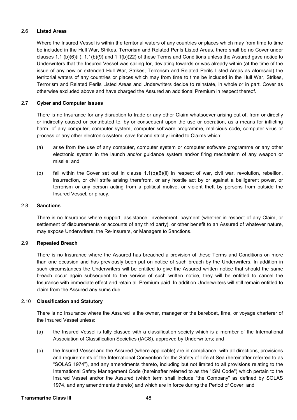#### 2.6 **Listed Areas**

Where the Insured Vessel is within the territorial waters of any countries or places which may from time to time be included in the Hull War, Strikes, Terrorism and Related Perils Listed Areas, there shall be no Cover under clauses 1.1 (b)(6)(ii), 1.1(b)(9) and 1.1(b)(22) of these Terms and Conditions unless the Assured gave notice to Underwriters that the Insured Vessel was sailing for, deviating towards or was already within (at the time of the issue of any new or extended Hull War, Strikes, Terrorism and Related Perils Listed Areas as aforesaid) the territorial waters of any countries or places which may from time to time be included in the Hull War, Strikes, Terrorism and Related Perils Listed Areas and Underwriters decide to reinstate, in whole or in part, Cover as otherwise excluded above and have charged the Assured an additional Premium in respect thereof.

#### 2.7 **Cyber and Computer Issues**

There is no Insurance for any disruption to trade or any other Claim whatsoever arising out of, from or directly or indirectly caused or contributed to, by or consequent upon the use or operation, as a means for inflicting harm, of any computer, computer system, computer software programme, malicious code, computer virus or process or any other electronic system, save for and strictly limited to Claims which:

- (a) arise from the use of any computer, computer system or computer software programme or any other electronic system in the launch and/or guidance system and/or firing mechanism of any weapon or missile; and
- (b) fall within the Cover set out in clause 1.1(b)(6)(ii) in respect of war, civil war, revolution, rebellion, insurrection, or civil strife arising therefrom, or any hostile act by or against a belligerent power, or terrorism or any person acting from a political motive, or violent theft by persons from outside the Insured Vessel, or piracy.

#### 2.8 **Sanctions**

There is no Insurance where support, assistance, involvement, payment (whether in respect of any Claim, or settlement of disbursements or accounts of any third party), or other benefit to an Assured of whatever nature, may expose Underwriters, the Re-Insurers, or Managers to Sanctions.

#### 2.9 **Repeated Breach**

There is no Insurance where the Assured has breached a provision of these Terms and Conditions on more than one occasion and has previously been put on notice of such breach by the Underwriters. In addition in such circumstances the Underwriters will be entitled to give the Assured written notice that should the same breach occur again subsequent to the service of such written notice, they will be entitled to cancel the Insurance with immediate effect and retain all Premium paid. In addition Underwriters will still remain entitled to claim from the Assured any sums due.

#### 2.10 **Classification and Statutory**

There is no Insurance where the Assured is the owner, manager or the bareboat, time, or voyage charterer of the Insured Vessel unless:

- (a) the Insured Vessel is fully classed with a classification society which is a member of the International Association of Classification Societies (IACS), approved by Underwriters; and
- (b) the Insured Vessel and the Assured (where applicable) are in compliance with all directions, provisions and requirements of the International Convention for the Safety of Life at Sea (hereinafter referred to as "SOLAS 1974"), and any amendments thereto, including but not limited to all provisions relating to the International Safety Management Code (hereinafter referred to as the "ISM Code") which pertain to the Insured Vessel and/or the Assured (which term shall include "the Company" as defined by SOLAS 1974, and any amendments thereto) and which are in force during the Period of Cover; and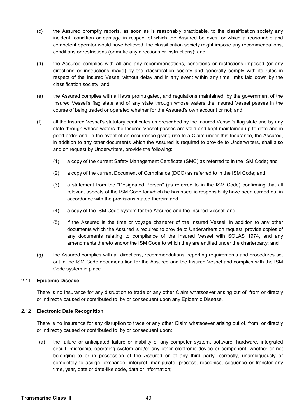- (c) the Assured promptly reports, as soon as is reasonably practicable, to the classification society any incident, condition or damage in respect of which the Assured believes, or which a reasonable and competent operator would have believed, the classification society might impose any recommendations, conditions or restrictions (or make any directions or instructions); and
- (d) the Assured complies with all and any recommendations, conditions or restrictions imposed (or any directions or instructions made) by the classification society and generally comply with its rules in respect of the Insured Vessel without delay and in any event within any time limits laid down by the classification society; and
- (e) the Assured complies with all laws promulgated, and regulations maintained, by the government of the Insured Vessel's flag state and of any state through whose waters the Insured Vessel passes in the course of being traded or operated whether for the Assured's own account or not; and
- (f) all the Insured Vessel's statutory certificates as prescribed by the Insured Vessel's flag state and by any state through whose waters the Insured Vessel passes are valid and kept maintained up to date and in good order and, in the event of an occurrence giving rise to a Claim under this Insurance, the Assured, in addition to any other documents which the Assured is required to provide to Underwriters, shall also and on request by Underwriters, provide the following:
	- (1) a copy of the current Safety Management Certificate (SMC) as referred to in the ISM Code; and
	- (2) a copy of the current Document of Compliance (DOC) as referred to in the ISM Code; and
	- (3) a statement from the "Designated Person" (as referred to in the ISM Code) confirming that all relevant aspects of the ISM Code for which he has specific responsibility have been carried out in accordance with the provisions stated therein; and
	- (4) a copy of the ISM Code system for the Assured and the Insured Vessel; and
	- (5) if the Assured is the time or voyage charterer of the Insured Vessel, in addition to any other documents which the Assured is required to provide to Underwriters on request, provide copies of any documents relating to compliance of the Insured Vessel with SOLAS 1974, and any amendments thereto and/or the ISM Code to which they are entitled under the charterparty; and
- (g) the Assured complies with all directions, recommendations, reporting requirements and procedures set out in the ISM Code documentation for the Assured and the Insured Vessel and complies with the ISM Code system in place.

# 2.11 **Epidemic Disease**

There is no Insurance for any disruption to trade or any other Claim whatsoever arising out of, from or directly or indirectly caused or contributed to, by or consequent upon any Epidemic Disease.

#### 2.12 **Electronic Date Recognition**

There is no Insurance for any disruption to trade or any other Claim whatsoever arising out of, from, or directly or indirectly caused or contributed to, by or consequent upon:

(a) the failure or anticipated failure or inability of any computer system, software, hardware, integrated circuit, microchip, operating system and/or any other electronic device or component, whether or not belonging to or in possession of the Assured or of any third party, correctly, unambiguously or completely to assign, exchange, interpret, manipulate, process, recognise, sequence or transfer any time, year, date or date-like code, data or information;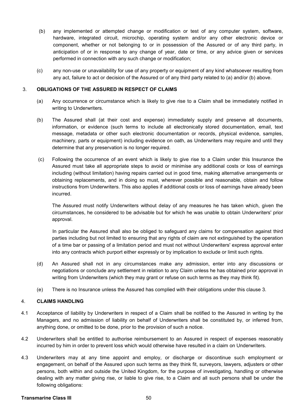- (b) any implemented or attempted change or modification or test of any computer system, software, hardware, integrated circuit, microchip, operating system and/or any other electronic device or component, whether or not belonging to or in possession of the Assured or of any third party, in anticipation of or in response to any change of year, date or time, or any advice given or services performed in connection with any such change or modification;
- (c) any non-use or unavailability for use of any property or equipment of any kind whatsoever resulting from any act, failure to act or decision of the Assured or of any third party related to (a) and/or (b) above.

#### 3. **OBLIGATIONS OF THE ASSURED IN RESPECT OF CLAIMS**

- (a) Any occurrence or circumstance which is likely to give rise to a Claim shall be immediately notified in writing to Underwriters.
- (b) The Assured shall (at their cost and expense) immediately supply and preserve all documents, information, or evidence (such terms to include all electronically stored documentation, email, text message, metadata or other such electronic documentation or records, physical evidence, samples, machinery, parts or equipment) including evidence on oath, as Underwriters may require and until they determine that any preservation is no longer required.
- (c) Following the occurrence of an event which is likely to give rise to a Claim under this Insurance the Assured must take all appropriate steps to avoid or minimise any additional costs or loss of earnings including (without limitation) having repairs carried out in good time, making alternative arrangements or obtaining replacements, and in doing so must, wherever possible and reasonable, obtain and follow instructions from Underwriters. This also applies if additional costs or loss of earnings have already been incurred.

The Assured must notify Underwriters without delay of any measures he has taken which, given the circumstances, he considered to be advisable but for which he was unable to obtain Underwriters' prior approval.

In particular the Assured shall also be obliged to safeguard any claims for compensation against third parties including but not limited to ensuring that any rights of claim are not extinguished by the operation of a time bar or passing of a limitation period and must not without Underwriters' express approval enter into any contracts which purport either expressly or by implication to exclude or limit such rights.

- (d) An Assured shall not in any circumstances make any admission, enter into any discussions or negotiations or conclude any settlement in relation to any Claim unless he has obtained prior approval in writing from Underwriters (which they may grant or refuse on such terms as they may think fit).
- (e) There is no Insurance unless the Assured has complied with their obligations under this clause 3.

#### 4. **CLAIMS HANDLING**

- 4.1 Acceptance of liability by Underwriters in respect of a Claim shall be notified to the Assured in writing by the Managers, and no admission of liability on behalf of Underwriters shall be constituted by, or inferred from, anything done, or omitted to be done, prior to the provision of such a notice.
- 4.2 Underwriters shall be entitled to authorise reimbursement to an Assured in respect of expenses reasonably incurred by him in order to prevent loss which would otherwise have resulted in a claim on Underwriters.
- 4.3 Underwriters may at any time appoint and employ, or discharge or discontinue such employment or engagement, on behalf of the Assured upon such terms as they think fit, surveyors, lawyers, adjusters or other persons, both within and outside the United Kingdom, for the purpose of investigating, handling or otherwise dealing with any matter giving rise, or liable to give rise, to a Claim and all such persons shall be under the following obligations:

#### **Transmarine Class III** 50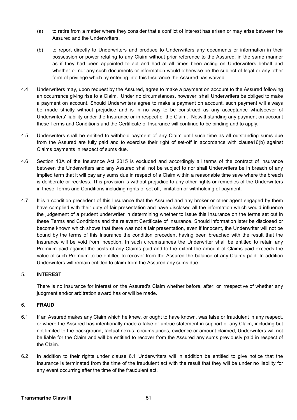- (a) to retire from a matter where they consider that a conflict of interest has arisen or may arise between the Assured and the Underwriters.
- (b) to report directly to Underwriters and produce to Underwriters any documents or information in their possession or power relating to any Claim without prior reference to the Assured, in the same manner as if they had been appointed to act and had at all times been acting on Underwriters behalf and whether or not any such documents or information would otherwise be the subject of legal or any other form of privilege which by entering into this Insurance the Assured has waived.
- 4.4 Underwriters may, upon request by the Assured, agree to make a payment on account to the Assured following an occurrence giving rise to a Claim. Under no circumstances, however, shall Underwriters be obliged to make a payment on account. Should Underwriters agree to make a payment on account, such payment will always be made strictly without prejudice and is in no way to be construed as any acceptance whatsoever of Underwriters' liability under the Insurance or in respect of the Claim. Notwithstanding any payment on account these Terms and Conditions and the Certificate of Insurance will continue to be binding and to apply.
- 4.5 Underwriters shall be entitled to withhold payment of any Claim until such time as all outstanding sums due from the Assured are fully paid and to exercise their right of set-off in accordance with clause16(b) against Claims payments in respect of sums due.
- 4.6 Section 13A of the Insurance Act 2015 is excluded and accordingly all terms of the contract of insurance between the Underwriters and any Assured shall not be subject to nor shall Underwriters be in breach of any implied term that it will pay any sums due in respect of a Claim within a reasonable time save where the breach is deliberate or reckless. This provision is without prejudice to any other rights or remedies of the Underwriters in these Terms and Conditions including rights of set off, limitation or withholding of payment.
- 4.7 It is a condition precedent of this Insurance that the Assured and any broker or other agent engaged by them have complied with their duty of fair presentation and have disclosed all the information which would influence the judgement of a prudent underwriter in determining whether to issue this Insurance on the terms set out in these Terms and Conditions and the relevant Certificate of Insurance. Should information later be disclosed or become known which shows that there was not a fair presentation, even if innocent, the Underwriter will not be bound by the terms of this Insurance the condition precedent having been breached with the result that the Insurance will be void from inception. In such circumstances the Underwriter shall be entitled to retain any Premium paid against the costs of any Claims paid and to the extent the amount of Claims paid exceeds the value of such Premium to be entitled to recover from the Assured the balance of any Claims paid. In addition Underwriters will remain entitled to claim from the Assured any sums due.

# 5. **INTEREST**

There is no Insurance for interest on the Assured's Claim whether before, after, or irrespective of whether any judgment and/or arbitration award has or will be made.

# 6. **FRAUD**

- 6.1 If an Assured makes any Claim which he knew, or ought to have known, was false or fraudulent in any respect, or where the Assured has intentionally made a false or untrue statement in support of any Claim, including but not limited to the background, factual nexus, circumstances, evidence or amount claimed, Underwriters will not be liable for the Claim and will be entitled to recover from the Assured any sums previously paid in respect of the Claim.
- 6.2 In addition to their rights under clause 6.1 Underwriters will in addition be entitled to give notice that the Insurance is terminated from the time of the fraudulent act with the result that they will be under no liability for any event occurring after the time of the fraudulent act.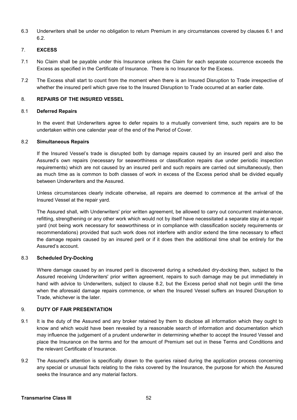6.3 Underwriters shall be under no obligation to return Premium in any circumstances covered by clauses 6.1 and 6.2.

# 7. **EXCESS**

- 7.1 No Claim shall be payable under this Insurance unless the Claim for each separate occurrence exceeds the Excess as specified in the Certificate of Insurance. There is no Insurance for the Excess.
- 7.2 The Excess shall start to count from the moment when there is an Insured Disruption to Trade irrespective of whether the insured peril which gave rise to the Insured Disruption to Trade occurred at an earlier date.

# 8. **REPAIRS OF THE INSURED VESSEL**

#### 8.1 **Deferred Repairs**

In the event that Underwriters agree to defer repairs to a mutually convenient time, such repairs are to be undertaken within one calendar year of the end of the Period of Cover.

#### 8.2 **Simultaneous Repairs**

If the Insured Vessel's trade is disrupted both by damage repairs caused by an insured peril and also the Assured's own repairs (necessary for seaworthiness or classification repairs due under periodic inspection requirements) which are not caused by an insured peril and such repairs are carried out simultaneously, then as much time as is common to both classes of work in excess of the Excess period shall be divided equally between Underwriters and the Assured.

Unless circumstances clearly indicate otherwise, all repairs are deemed to commence at the arrival of the Insured Vessel at the repair yard.

The Assured shall, with Underwriters' prior written agreement, be allowed to carry out concurrent maintenance, refitting, strengthening or any other work which would not by itself have necessitated a separate stay at a repair yard (not being work necessary for seaworthiness or in compliance with classification society requirements or recommendations) provided that such work does not interfere with and/or extend the time necessary to effect the damage repairs caused by an insured peril or if it does then the additional time shall be entirely for the Assured's account.

#### 8.3 **Scheduled Dry-Docking**

Where damage caused by an insured peril is discovered during a scheduled dry-docking then, subject to the Assured receiving Underwriters' prior written agreement, repairs to such damage may be put immediately in hand with advice to Underwriters, subject to clause 8.2, but the Excess period shall not begin until the time when the aforesaid damage repairs commence, or when the Insured Vessel suffers an Insured Disruption to Trade, whichever is the later.

# 9. **DUTY OF FAIR PRESENTATION**

- 9.1 It is the duty of the Assured and any broker retained by them to disclose all information which they ought to know and which would have been revealed by a reasonable search of information and documentation which may influence the judgement of a prudent underwriter in determining whether to accept the Insured Vessel and place the Insurance on the terms and for the amount of Premium set out in these Terms and Conditions and the relevant Certificate of Insurance.
- 9.2 The Assured's attention is specifically drawn to the queries raised during the application process concerning any special or unusual facts relating to the risks covered by the Insurance, the purpose for which the Assured seeks the Insurance and any material factors.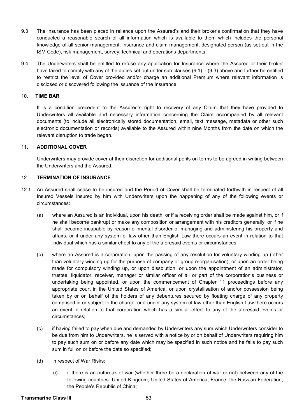- 9.3 The Insurance has been placed in reliance upon the Assured's and their broker's confirmation that they have conducted a reasonable search of all information which is available to them which includes the personal knowledge of all senior management, insurance and claim management, designated person (as set out in the ISM Code), risk management, survey, technical and operations departments.
- 9.4 The Underwriters shall be entitled to refuse any application for Insurance where the Assured or their broker have failed to comply with any of the duties set out under sub clauses  $(9.1) - (9.3)$  above and further be entitled to restrict the level of Cover provided and/or charge an additional Premium where relevant information is disclosed or discovered following the issuance of the Insurance.

#### 10. **TIME BAR**

It is a condition precedent to the Assured's right to recovery of any Claim that they have provided to Underwriters all available and necessary information concerning the Claim accompanied by all relevant documents (to include all electronically stored documentation, email, text message, metadata or other such electronic documentation or records) available to the Assured within nine Months from the date on which the relevant disruption to trade began.

#### 11**. ADDITIONAL COVER**

Underwriters may provide cover at their discretion for additional perils on terms to be agreed in writing between the Underwriters and the Assured.

#### 12. **TERMINATION OF INSURANCE**

- 12.1 An Assured shall cease to be insured and the Period of Cover shall be terminated forthwith in respect of all Insured Vessels insured by him with Underwriters upon the happening of any of the following events or circumstances:
	- (a) where an Assured is an individual, upon his death, or if a receiving order shall be made against him, or if he shall become bankrupt or make any composition or arrangement with his creditors generally, or if he shall become incapable by reason of mental disorder of managing and administering his property and affairs, or if under any system of law other than English Law there occurs an event in relation to that individual which has a similar effect to any of the aforesaid events or circumstances;
	- (b) where an Assured is a corporation, upon the passing of any resolution for voluntary winding up (other than voluntary winding up for the purpose of company or group reorganisation), or upon an order being made for compulsory winding up, or upon dissolution, or upon the appointment of an administrator, trustee, liquidator, receiver, manager or similar officer of all or part of the corporation's business or undertaking being appointed, or upon the commencement of Chapter 11 proceedings before any appropriate court in the United States of America, or upon crystallisation of and/or possession being taken by or on behalf of the holders of any debentures secured by floating charge of any property comprised in or subject to the charge, or if under any system of law other than English Law there occurs an event in relation to that corporation which has a similar effect to any of the aforesaid events or circumstances;
	- (c) if having failed to pay when due and demanded by Underwriters any sum which Underwriters consider to be due from him to Underwriters, he is served with a notice by or on behalf of Underwriters requiring him to pay such sum on or before any date which may be specified in such notice and he fails to pay such sum in full on or before the date so specified;
	- (d) in respect of War Risks:
		- (i) if there is an outbreak of war (whether there be a declaration of war or not) between any of the following countries: United Kingdom, United States of America, France, the Russian Federation, the People's Republic of China;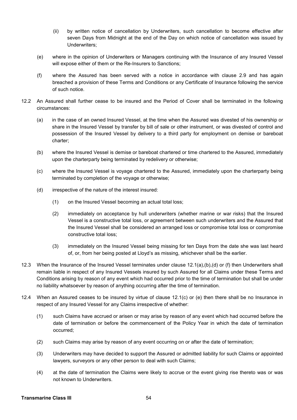- (ii) by written notice of cancellation by Underwriters, such cancellation to become effective after seven Days from Midnight at the end of the Day on which notice of cancellation was issued by Underwriters;
- (e) where in the opinion of Underwriters or Managers continuing with the Insurance of any Insured Vessel will expose either of them or the Re-Insurers to Sanctions:
- (f) where the Assured has been served with a notice in accordance with clause 2.9 and has again breached a provision of these Terms and Conditions or any Certificate of Insurance following the service of such notice.
- 12.2 An Assured shall further cease to be insured and the Period of Cover shall be terminated in the following circumstances:
	- (a) in the case of an owned Insured Vessel, at the time when the Assured was divested of his ownership or share in the Insured Vessel by transfer by bill of sale or other instrument, or was divested of control and possession of the Insured Vessel by delivery to a third party for employment on demise or bareboat charter;
	- (b) where the Insured Vessel is demise or bareboat chartered or time chartered to the Assured, immediately upon the charterparty being terminated by redelivery or otherwise;
	- (c) where the Insured Vessel is voyage chartered to the Assured, immediately upon the charterparty being terminated by completion of the voyage or otherwise;
	- (d) irrespective of the nature of the interest insured:
		- (1) on the Insured Vessel becoming an actual total loss;
		- (2) immediately on acceptance by hull underwriters (whether marine or war risks) that the Insured Vessel is a constructive total loss, or agreement between such underwriters and the Assured that the Insured Vessel shall be considered an arranged loss or compromise total loss or compromise constructive total loss;
		- (3) immediately on the Insured Vessel being missing for ten Days from the date she was last heard of, or, from her being posted at Lloyd's as missing, whichever shall be the earlier.
- 12.3 When the Insurance of the Insured Vessel terminates under clause 12.1(a),(b),(d) or (f) then Underwriters shall remain liable in respect of any Insured Vessels insured by such Assured for all Claims under these Terms and Conditions arising by reason of any event which had occurred prior to the time of termination but shall be under no liability whatsoever by reason of anything occurring after the time of termination.
- 12.4 When an Assured ceases to be insured by virtue of clause 12.1(c) or (e) then there shall be no Insurance in respect of any Insured Vessel for any Claims irrespective of whether:
	- (1) such Claims have accrued or arisen or may arise by reason of any event which had occurred before the date of termination or before the commencement of the Policy Year in which the date of termination occurred;
	- (2) such Claims may arise by reason of any event occurring on or after the date of termination;
	- (3) Underwriters may have decided to support the Assured or admitted liability for such Claims or appointed lawyers, surveyors or any other person to deal with such Claims;
	- (4) at the date of termination the Claims were likely to accrue or the event giving rise thereto was or was not known to Underwriters.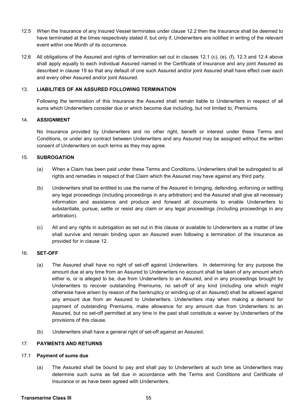- 12.5 When the Insurance of any Insured Vessel terminates under clause 12.2 then the Insurance shall be deemed to have terminated at the times respectively stated if, but only if, Underwriters are notified in writing of the relevant event within one Month of its occurrence.
- 12.6 All obligations of the Assured and rights of termination set out in clauses 12.1 (c), (e), (f), 12.3 and 12.4 above shall apply equally to each individual Assured named in the Certificate of Insurance and any joint Assured as described in clause 19 so that any default of one such Assured and/or joint Assured shall have effect over each and every other Assured and/or joint Assured.

#### 13. **LIABILITIES OF AN ASSURED FOLLOWING TERMINATION**

Following the termination of this Insurance the Assured shall remain liable to Underwriters in respect of all sums which Underwriters consider due or which become due including, but not limited to, Premiums.

#### 14. **ASSIGNMENT**

No Insurance provided by Underwriters and no other right, benefit or interest under these Terms and Conditions, or under any contract between Underwriters and any Assured may be assigned without the written consent of Underwriters on such terms as they may agree.

#### 15. **SUBROGATION**

- (a) When a Claim has been paid under these Terms and Conditions, Underwriters shall be subrogated to all rights and remedies in respect of that Claim which the Assured may have against any third party.
- (b) Underwriters shall be entitled to use the name of the Assured in bringing, defending, enforcing or settling any legal proceedings (including proceedings in any arbitration) and the Assured shall give all necessary information and assistance and produce and forward all documents to enable Underwriters to substantiate, pursue, settle or resist any claim or any legal proceedings (including proceedings in any arbitration).
- (c) All and any rights in subrogation as set out in this clause or available to Underwriters as a matter of law shall survive and remain binding upon an Assured even following a termination of the Insurance as provided for in clause 12.

# 16. **SET-OFF**

- (a) The Assured shall have no right of set-off against Underwriters. In determining for any purpose the amount due at any time from an Assured to Underwriters no account shall be taken of any amount which either is, or is alleged to be, due from Underwriters to an Assured, and in any proceedings brought by Underwriters to recover outstanding Premiums, no set-off of any kind (including one which might otherwise have arisen by reason of the bankruptcy or winding up of an Assured) shall be allowed against any amount due from an Assured to Underwriters. Underwriters may when making a demand for payment of outstanding Premiums, make allowance for any amount due from Underwriters to an Assured, but no set-off permitted at any time in the past shall constitute a waiver by Underwriters of the provisions of this clause.
- (b) Underwriters shall have a general right of set-off against an Assured.

# 17. **PAYMENTS AND RETURNS**

#### 17.1 **Payment of sums due**

(a) The Assured shall be bound to pay and shall pay to Underwriters at such time as Underwriters may determine such sums as fall due in accordance with the Terms and Conditions and Certificate of Insurance or as have been agreed with Underwriters.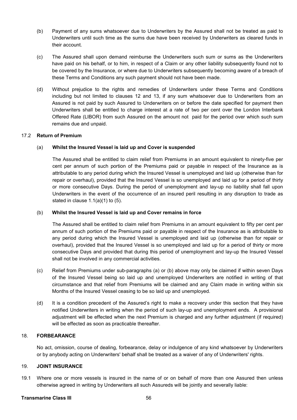- (b) Payment of any sums whatsoever due to Underwriters by the Assured shall not be treated as paid to Underwriters until such time as the sums due have been received by Underwriters as cleared funds in their account.
- (c) The Assured shall upon demand reimburse the Underwriters such sum or sums as the Underwriters have paid on his behalf, or to him, in respect of a Claim or any other liability subsequently found not to be covered by the Insurance, or where due to Underwriters subsequently becoming aware of a breach of these Terms and Conditions any such payment should not have been made.
- (d) Without prejudice to the rights and remedies of Underwriters under these Terms and Conditions including but not limited to clauses 12 and 13, if any sum whatsoever due to Underwriters from an Assured is not paid by such Assured to Underwriters on or before the date specified for payment then Underwriters shall be entitled to charge interest at a rate of two per cent over the London Interbank Offered Rate (LIBOR) from such Assured on the amount not paid for the period over which such sum remains due and unpaid.

#### 17.2 **Return of Premium**

#### (a) **Whilst the Insured Vessel is laid up and Cover is suspended**

The Assured shall be entitled to claim relief from Premiums in an amount equivalent to ninety-five per cent per annum of such portion of the Premiums paid or payable in respect of the Insurance as is attributable to any period during which the Insured Vessel is unemployed and laid up (otherwise than for repair or overhaul), provided that the Insured Vessel is so unemployed and laid up for a period of thirty or more consecutive Days. During the period of unemployment and lay-up no liability shall fall upon Underwriters in the event of the occurrence of an insured peril resulting in any disruption to trade as stated in clause  $1.1(a)(1)$  to  $(5)$ .

#### (b) **Whilst the Insured Vessel is laid up and Cover remains in force**

The Assured shall be entitled to claim relief from Premiums in an amount equivalent to fifty per cent per annum of such portion of the Premiums paid or payable in respect of the Insurance as is attributable to any period during which the Insured Vessel is unemployed and laid up (otherwise than for repair or overhaul), provided that the Insured Vessel is so unemployed and laid up for a period of thirty or more consecutive Days and provided that during this period of unemployment and lay-up the Insured Vessel shall not be involved in any commercial activities.

- (c) Relief from Premiums under sub-paragraphs (a) or (b) above may only be claimed if within seven Days of the Insured Vessel being so laid up and unemployed Underwriters are notified in writing of that circumstance and that relief from Premiums will be claimed and any Claim made in writing within six Months of the Insured Vessel ceasing to be so laid up and unemployed.
- (d) It is a condition precedent of the Assured's right to make a recovery under this section that they have notified Underwriters in writing when the period of such lay-up and unemployment ends. A provisional adjustment will be effected when the next Premium is charged and any further adjustment (if required) will be effected as soon as practicable thereafter.

#### 18. **FORBEARANCE**

 No act, omission, course of dealing, forbearance, delay or indulgence of any kind whatsoever by Underwriters or by anybody acting on Underwriters' behalf shall be treated as a waiver of any of Underwriters' rights.

#### 19. **JOINT INSURANCE**

19.1 Where one or more vessels is insured in the name of or on behalf of more than one Assured then unless otherwise agreed in writing by Underwriters all such Assureds will be jointly and severally liable:

#### **Transmarine Class III** 56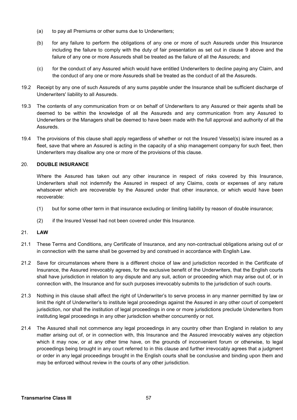- (a) to pay all Premiums or other sums due to Underwriters;
- (b) for any failure to perform the obligations of any one or more of such Assureds under this Insurance including the failure to comply with the duty of fair presentation as set out in clause 9 above and the failure of any one or more Assureds shall be treated as the failure of all the Assureds; and
- (c) for the conduct of any Assured which would have entitled Underwriters to decline paying any Claim, and the conduct of any one or more Assureds shall be treated as the conduct of all the Assureds.
- 19.2 Receipt by any one of such Assureds of any sums payable under the Insurance shall be sufficient discharge of Underwriters' liability to all Assureds.
- 19.3 The contents of any communication from or on behalf of Underwriters to any Assured or their agents shall be deemed to be within the knowledge of all the Assureds and any communication from any Assured to Underwriters or the Managers shall be deemed to have been made with the full approval and authority of all the Assureds.
- 19.4 The provisions of this clause shall apply regardless of whether or not the Insured Vessel(s) is/are insured as a fleet, save that where an Assured is acting in the capacity of a ship management company for such fleet, then Underwriters may disallow any one or more of the provisions of this clause.

# 20. **DOUBLE INSURANCE**

Where the Assured has taken out any other insurance in respect of risks covered by this Insurance, Underwriters shall not indemnify the Assured in respect of any Claims, costs or expenses of any nature whatsoever which are recoverable by the Assured under that other insurance, or which would have been recoverable:

- (1) but for some other term in that insurance excluding or limiting liability by reason of double insurance;
- (2) if the Insured Vessel had not been covered under this Insurance.

# 21. **LAW**

- 21.1 These Terms and Conditions, any Certificate of Insurance, and any non-contractual obligations arising out of or in connection with the same shall be governed by and construed in accordance with English Law.
- 21.2 Save for circumstances where there is a different choice of law and jurisdiction recorded in the Certificate of Insurance, the Assured irrevocably agrees, for the exclusive benefit of the Underwriters, that the English courts shall have jurisdiction in relation to any dispute and any suit, action or proceeding which may arise out of, or in connection with, the Insurance and for such purposes irrevocably submits to the jurisdiction of such courts.
- 21.3 Nothing in this clause shall affect the right of Underwriter's to serve process in any manner permitted by law or limit the right of Underwriter's to institute legal proceedings against the Assured in any other court of competent jurisdiction, nor shall the institution of legal proceedings in one or more jurisdictions preclude Underwriters from instituting legal proceedings in any other jurisdiction whether concurrently or not.
- 21.4 The Assured shall not commence any legal proceedings in any country other than England in relation to any matter arising out of, or in connection with, this Insurance and the Assured irrevocably waives any objection which it may now, or at any other time have, on the grounds of inconvenient forum or otherwise, to legal proceedings being brought in any court referred to in this clause and further irrevocably agrees that a judgment or order in any legal proceedings brought in the English courts shall be conclusive and binding upon them and may be enforced without review in the courts of any other jurisdiction.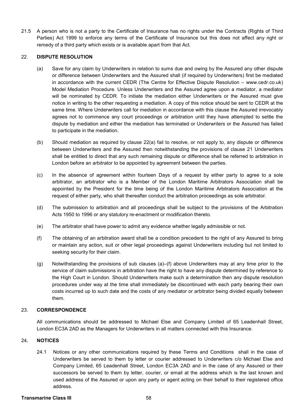21.5 A person who is not a party to the Certificate of Insurance has no rights under the Contracts (Rights of Third Parties) Act 1999 to enforce any terms of the Certificate of Insurance but this does not affect any right or remedy of a third party which exists or is available apart from that Act.

#### 22. **DISPUTE RESOLUTION**

- (a) Save for any claim by Underwriters in relation to sums due and owing by the Assured any other dispute or difference between Underwriters and the Assured shall (if required by Underwriters) first be mediated in accordance with the current CEDR (The Centre for Effective Dispute Resolution – www.cedr.co.uk) Model Mediation Procedure. Unless Underwriters and the Assured agree upon a mediator, a mediator will be nominated by CEDR. To initiate the mediation either Underwriters or the Assured must give notice in writing to the other requesting a mediation. A copy of this notice should be sent to CEDR at the same time. Where Underwriters call for mediation in accordance with this clause the Assured irrevocably agrees not to commence any court proceedings or arbitration until they have attempted to settle the dispute by mediation and either the mediation has terminated or Underwriters or the Assured has failed to participate in the mediation.
- (b) Should mediation as required by clause 22(a) fail to resolve, or not apply to, any dispute or difference between Underwriters and the Assured then notwithstanding the provisions of clause 21 Underwriters shall be entitled to direct that any such remaining dispute or difference shall be referred to arbitration in London before an arbitrator to be appointed by agreement between the parties.
- (c) In the absence of agreement within fourteen Days of a request by either party to agree to a sole arbitrator, an arbitrator who is a Member of the London Maritime Arbitrators Association shall be appointed by the President for the time being of the London Maritime Arbitrators Association at the request of either party, who shall thereafter conduct the arbitration proceedings as sole arbitrator.
- (d) The submission to arbitration and all proceedings shall be subject to the provisions of the Arbitration Acts 1950 to 1996 or any statutory re-enactment or modification thereto.
- (e) The arbitrator shall have power to admit any evidence whether legally admissible or not.
- (f) The obtaining of an arbitration award shall be a condition precedent to the right of any Assured to bring or maintain any action, suit or other legal proceedings against Underwriters including but not limited to seeking security for their claim.
- (g) Notwithstanding the provisions of sub clauses (a)–(f) above Underwriters may at any time prior to the service of claim submissions in arbitration have the right to have any dispute determined by reference to the High Court in London. Should Underwriters make such a determination then any dispute resolution procedures under way at the time shall immediately be discontinued with each party bearing their own costs incurred up to such date and the costs of any mediator or arbitrator being divided equally between them.

#### 23. **CORRESPONDENCE**

All communications should be addressed to Michael Else and Company Limited of 65 Leadenhall Street, London EC3A 2AD as the Managers for Underwriters in all matters connected with this Insurance.

#### 24**. NOTICES**

24.1 Notices or any other communications required by these Terms and Conditions shall in the case of Underwriters be served to them by letter or courier addressed to Underwriters c/o Michael Else and Company Limited, 65 Leadenhall Street, London EC3A 2AD and in the case of any Assured or their successors be served to them by letter, courier, or email at the address which is the last known and used address of the Assured or upon any party or agent acting on their behalf to their registered office address.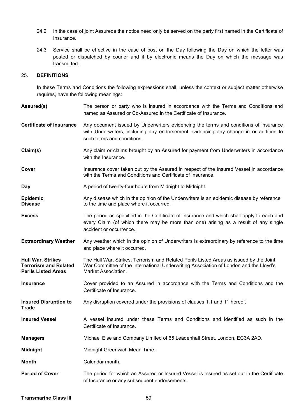- 24.2 In the case of joint Assureds the notice need only be served on the party first named in the Certificate of Insurance.
- 24.3 Service shall be effective in the case of post on the Day following the Day on which the letter was posted or dispatched by courier and if by electronic means the Day on which the message was transmitted.

# 25. **DEFINITIONS**

In these Terms and Conditions the following expressions shall, unless the context or subject matter otherwise requires, have the following meanings:

| Assured(s)                                                                             | The person or party who is insured in accordance with the Terms and Conditions and<br>named as Assured or Co-Assured in the Certificate of Insurance.                                                       |
|----------------------------------------------------------------------------------------|-------------------------------------------------------------------------------------------------------------------------------------------------------------------------------------------------------------|
| <b>Certificate of Insurance</b>                                                        | Any document issued by Underwriters evidencing the terms and conditions of insurance<br>with Underwriters, including any endorsement evidencing any change in or addition to<br>such terms and conditions.  |
| Claim(s)                                                                               | Any claim or claims brought by an Assured for payment from Underwriters in accordance<br>with the Insurance.                                                                                                |
| Cover                                                                                  | Insurance cover taken out by the Assured in respect of the Insured Vessel in accordance<br>with the Terms and Conditions and Certificate of Insurance.                                                      |
| Day                                                                                    | A period of twenty-four hours from Midnight to Midnight.                                                                                                                                                    |
| <b>Epidemic</b><br><b>Disease</b>                                                      | Any disease which in the opinion of the Underwriters is an epidemic disease by reference<br>to the time and place where it occurred.                                                                        |
| <b>Excess</b>                                                                          | The period as specified in the Certificate of Insurance and which shall apply to each and<br>every Claim (of which there may be more than one) arising as a result of any single<br>accident or occurrence. |
| <b>Extraordinary Weather</b>                                                           | Any weather which in the opinion of Underwriters is extraordinary by reference to the time<br>and place where it occurred.                                                                                  |
| <b>Hull War, Strikes</b><br><b>Terrorism and Related</b><br><b>Perils Listed Areas</b> | The Hull War, Strikes, Terrorism and Related Perils Listed Areas as issued by the Joint<br>War Committee of the International Underwriting Association of London and the Lloyd's<br>Market Association.     |
| <b>Insurance</b>                                                                       | Cover provided to an Assured in accordance with the Terms and Conditions and the<br>Certificate of Insurance.                                                                                               |
| <b>Insured Disruption to</b><br><b>Trade</b>                                           | Any disruption covered under the provisions of clauses 1.1 and 11 hereof.                                                                                                                                   |
| <b>Insured Vessel</b>                                                                  | A vessel insured under these Terms and Conditions and identified as such in the<br>Certificate of Insurance.                                                                                                |
| <b>Managers</b>                                                                        | Michael Else and Company Limited of 65 Leadenhall Street, London, EC3A 2AD.                                                                                                                                 |
| <b>Midnight</b>                                                                        | Midnight Greenwich Mean Time.                                                                                                                                                                               |
| <b>Month</b>                                                                           | Calendar month.                                                                                                                                                                                             |
| <b>Period of Cover</b>                                                                 | The period for which an Assured or Insured Vessel is insured as set out in the Certificate<br>of Insurance or any subsequent endorsements.                                                                  |